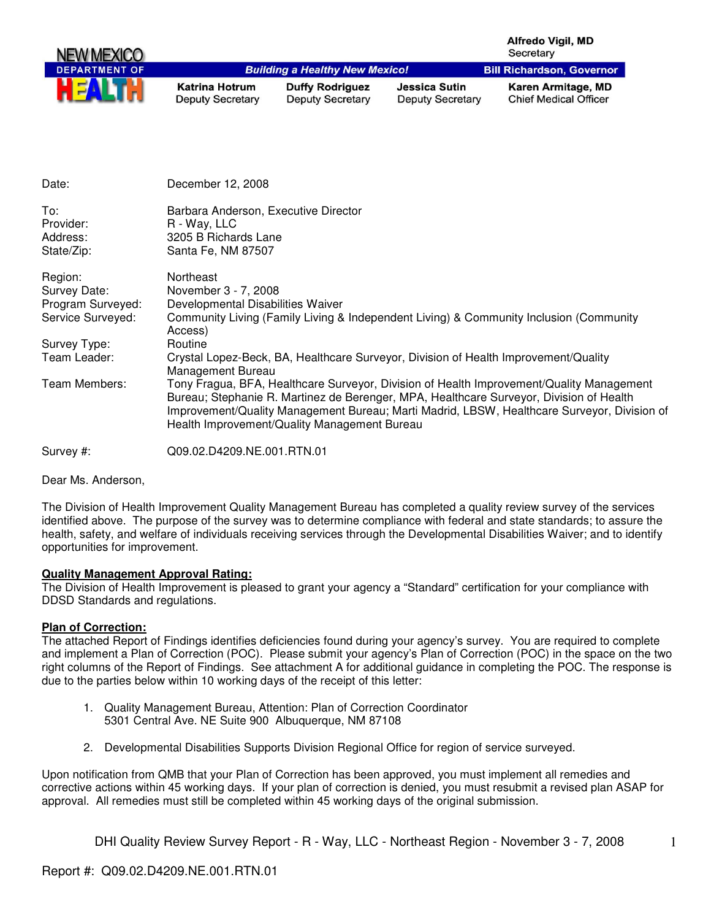| <b>NEW MEXICO</b>    |                                                      |                                                   |                                          | <b>Alfredo Vigil, MD</b><br>Secretary              |
|----------------------|------------------------------------------------------|---------------------------------------------------|------------------------------------------|----------------------------------------------------|
| <b>DEPARTMENT OF</b> |                                                      | <b>Building a Healthy New Mexico!</b>             |                                          | <b>Bill Richardson, Governor</b>                   |
|                      | <b>Katrina Hotrum</b><br><b>Deputy Secretary</b>     | <b>Duffy Rodriguez</b><br><b>Deputy Secretary</b> | Jessica Sutin<br><b>Deputy Secretary</b> | Karen Armitage, MD<br><b>Chief Medical Officer</b> |
| Date:                | December 12, 2008                                    |                                                   |                                          |                                                    |
| To:<br>Provider:     | Barbara Anderson, Executive Director<br>R - Way, LLC |                                                   |                                          |                                                    |

| State/Zip.        | Sania Fe, NM 87507                                                                                                                                                                                                                                                                                                                 |
|-------------------|------------------------------------------------------------------------------------------------------------------------------------------------------------------------------------------------------------------------------------------------------------------------------------------------------------------------------------|
| Region:           | Northeast                                                                                                                                                                                                                                                                                                                          |
| Survey Date:      | November 3 - 7, 2008                                                                                                                                                                                                                                                                                                               |
| Program Surveyed: | Developmental Disabilities Waiver                                                                                                                                                                                                                                                                                                  |
| Service Surveyed: | Community Living (Family Living & Independent Living) & Community Inclusion (Community<br>Access)                                                                                                                                                                                                                                  |
| Survey Type:      | Routine                                                                                                                                                                                                                                                                                                                            |
| Team Leader:      | Crystal Lopez-Beck, BA, Healthcare Surveyor, Division of Health Improvement/Quality<br>Management Bureau                                                                                                                                                                                                                           |
| Team Members:     | Tony Fragua, BFA, Healthcare Surveyor, Division of Health Improvement/Quality Management<br>Bureau; Stephanie R. Martinez de Berenger, MPA, Healthcare Surveyor, Division of Health<br>Improvement/Quality Management Bureau; Marti Madrid, LBSW, Healthcare Surveyor, Division of<br>Health Improvement/Quality Management Bureau |
| Survey #:         | Q09.02.D4209.NE.001.RTN.01                                                                                                                                                                                                                                                                                                         |

Dear Ms. Anderson,

The Division of Health Improvement Quality Management Bureau has completed a quality review survey of the services identified above. The purpose of the survey was to determine compliance with federal and state standards; to assure the health, safety, and welfare of individuals receiving services through the Developmental Disabilities Waiver; and to identify opportunities for improvement.

#### **Quality Management Approval Rating:**

Address: 3205 B Richards Lane Address:  $\frac{3205}{8005}$  Sexter Fig. 2005 Address:

The Division of Health Improvement is pleased to grant your agency a "Standard" certification for your compliance with DDSD Standards and regulations.

#### **Plan of Correction:**

The attached Report of Findings identifies deficiencies found during your agency's survey. You are required to complete and implement a Plan of Correction (POC). Please submit your agency's Plan of Correction (POC) in the space on the two right columns of the Report of Findings. See attachment A for additional guidance in completing the POC. The response is due to the parties below within 10 working days of the receipt of this letter:

- 1. Quality Management Bureau, Attention: Plan of Correction Coordinator 5301 Central Ave. NE Suite 900 Albuquerque, NM 87108
- 2. Developmental Disabilities Supports Division Regional Office for region of service surveyed.

Upon notification from QMB that your Plan of Correction has been approved, you must implement all remedies and corrective actions within 45 working days. If your plan of correction is denied, you must resubmit a revised plan ASAP for approval. All remedies must still be completed within 45 working days of the original submission.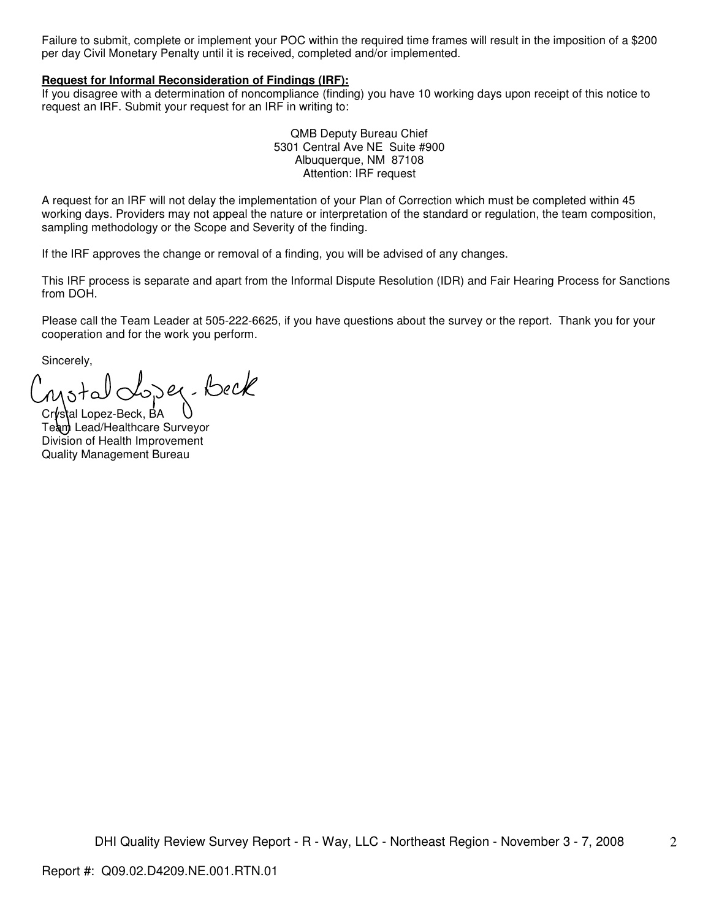Failure to submit, complete or implement your POC within the required time frames will result in the imposition of a \$200 per day Civil Monetary Penalty until it is received, completed and/or implemented.

#### **Request for Informal Reconsideration of Findings (IRF):**

If you disagree with a determination of noncompliance (finding) you have 10 working days upon receipt of this notice to request an IRF. Submit your request for an IRF in writing to:

> QMB Deputy Bureau Chief 5301 Central Ave NE Suite #900 Albuquerque, NM 87108 Attention: IRF request

A request for an IRF will not delay the implementation of your Plan of Correction which must be completed within 45 working days. Providers may not appeal the nature or interpretation of the standard or regulation, the team composition, sampling methodology or the Scope and Severity of the finding.

If the IRF approves the change or removal of a finding, you will be advised of any changes.

This IRF process is separate and apart from the Informal Dispute Resolution (IDR) and Fair Hearing Process for Sanctions from DOH.

Please call the Team Leader at 505-222-6625, if you have questions about the survey or the report. Thank you for your cooperation and for the work you perform.

Sincerely,

Der-Beck

Crystal Lopez-Beck, BA Team Lead/Healthcare Surveyor Division of Health Improvement Quality Management Bureau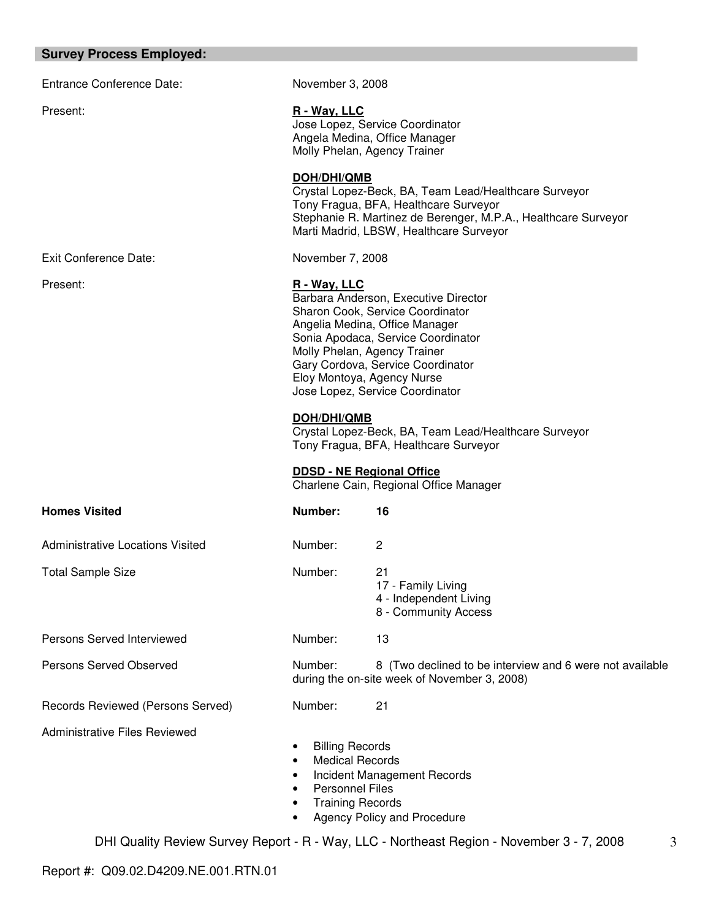#### **Survey Process Employed:**

Entrance Conference Date: November 3, 2008

Exit Conference Date: November 7, 2008

#### Present: **R** - Way, LLC

Jose Lopez, Service Coordinator Angela Medina, Office Manager Molly Phelan, Agency Trainer

#### **DOH/DHI/QMB**

Crystal Lopez-Beck, BA, Team Lead/Healthcare Surveyor Tony Fragua, BFA, Healthcare Surveyor Stephanie R. Martinez de Berenger, M.P.A., Healthcare Surveyor Marti Madrid, LBSW, Healthcare Surveyor

## Present: **R** - Way, LLC

Barbara Anderson, Executive Director Sharon Cook, Service Coordinator Angelia Medina, Office Manager Sonia Apodaca, Service Coordinator Molly Phelan, Agency Trainer Gary Cordova, Service Coordinator Eloy Montoya, Agency Nurse Jose Lopez, Service Coordinator

## **DOH/DHI/QMB**

Crystal Lopez-Beck, BA, Team Lead/Healthcare Surveyor Tony Fragua, BFA, Healthcare Surveyor

## **DDSD - NE Regional Office**

Charlene Cain, Regional Office Manager

| <b>Homes Visited</b>                 | Number:                                                                    | 16                                                                                                       |
|--------------------------------------|----------------------------------------------------------------------------|----------------------------------------------------------------------------------------------------------|
| Administrative Locations Visited     | Number:                                                                    | 2                                                                                                        |
| <b>Total Sample Size</b>             | Number:                                                                    | 21<br>17 - Family Living<br>4 - Independent Living<br>8 - Community Access                               |
| Persons Served Interviewed           | Number:                                                                    | 13                                                                                                       |
| <b>Persons Served Observed</b>       | Number:                                                                    | 8 (Two declined to be interview and 6 were not available<br>during the on-site week of November 3, 2008) |
| Records Reviewed (Persons Served)    | Number:                                                                    | 21                                                                                                       |
| <b>Administrative Files Reviewed</b> | <b>Billing Records</b><br><b>Medical Records</b><br><b>Dorcoppol Eiloc</b> | Incident Management Records                                                                              |

- Personnel Files
- Training Records
- Agency Policy and Procedure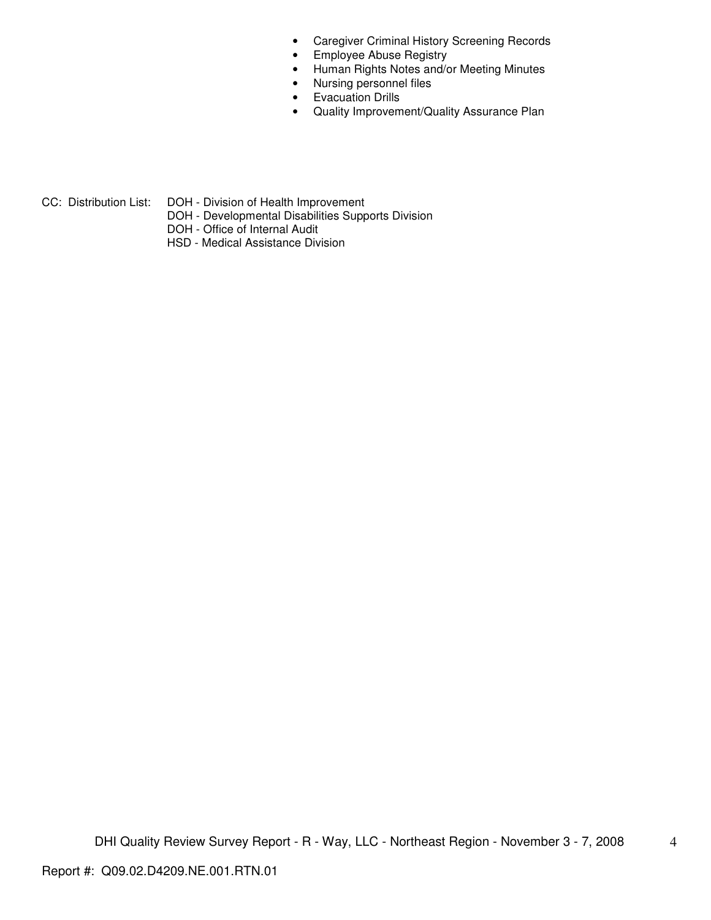- Caregiver Criminal History Screening Records
- Employee Abuse Registry
- Human Rights Notes and/or Meeting Minutes
- Nursing personnel files
- Evacuation Drills
- Quality Improvement/Quality Assurance Plan

- CC: Distribution List: DOH Division of Health Improvement
	- DOH Developmental Disabilities Supports Division
	- DOH Office of Internal Audit
	- HSD Medical Assistance Division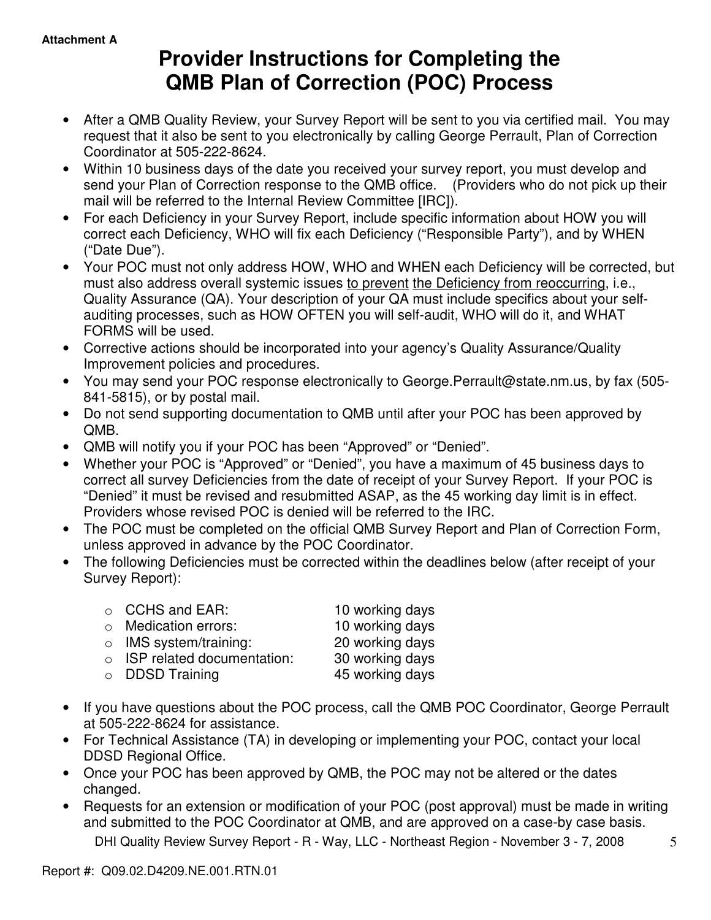# **Provider Instructions for Completing the QMB Plan of Correction (POC) Process**

- After a QMB Quality Review, your Survey Report will be sent to you via certified mail. You may request that it also be sent to you electronically by calling George Perrault, Plan of Correction Coordinator at 505-222-8624.
- Within 10 business days of the date you received your survey report, you must develop and send your Plan of Correction response to the QMB office. (Providers who do not pick up their mail will be referred to the Internal Review Committee [IRC]).
- For each Deficiency in your Survey Report, include specific information about HOW you will correct each Deficiency, WHO will fix each Deficiency ("Responsible Party"), and by WHEN ("Date Due").
- Your POC must not only address HOW, WHO and WHEN each Deficiency will be corrected, but must also address overall systemic issues to prevent the Deficiency from reoccurring, i.e., Quality Assurance (QA). Your description of your QA must include specifics about your selfauditing processes, such as HOW OFTEN you will self-audit, WHO will do it, and WHAT FORMS will be used.
- Corrective actions should be incorporated into your agency's Quality Assurance/Quality Improvement policies and procedures.
- You may send your POC response electronically to George.Perrault@state.nm.us, by fax (505- 841-5815), or by postal mail.
- Do not send supporting documentation to QMB until after your POC has been approved by QMB.
- QMB will notify you if your POC has been "Approved" or "Denied".
- Whether your POC is "Approved" or "Denied", you have a maximum of 45 business days to correct all survey Deficiencies from the date of receipt of your Survey Report. If your POC is "Denied" it must be revised and resubmitted ASAP, as the 45 working day limit is in effect. Providers whose revised POC is denied will be referred to the IRC.
- The POC must be completed on the official QMB Survey Report and Plan of Correction Form, unless approved in advance by the POC Coordinator.
- The following Deficiencies must be corrected within the deadlines below (after receipt of your Survey Report):

| $\circ$ CCHS and EAR:              | 10 working days |
|------------------------------------|-----------------|
| $\circ$ Medication errors:         | 10 working days |
| $\circ$ IMS system/training:       | 20 working days |
| $\circ$ ISP related documentation: | 30 working days |
| $\circ$ DDSD Training              | 45 working days |

- If you have questions about the POC process, call the QMB POC Coordinator, George Perrault at 505-222-8624 for assistance.
- For Technical Assistance (TA) in developing or implementing your POC, contact your local DDSD Regional Office.
- Once your POC has been approved by QMB, the POC may not be altered or the dates changed.
- Requests for an extension or modification of your POC (post approval) must be made in writing and submitted to the POC Coordinator at QMB, and are approved on a case-by case basis.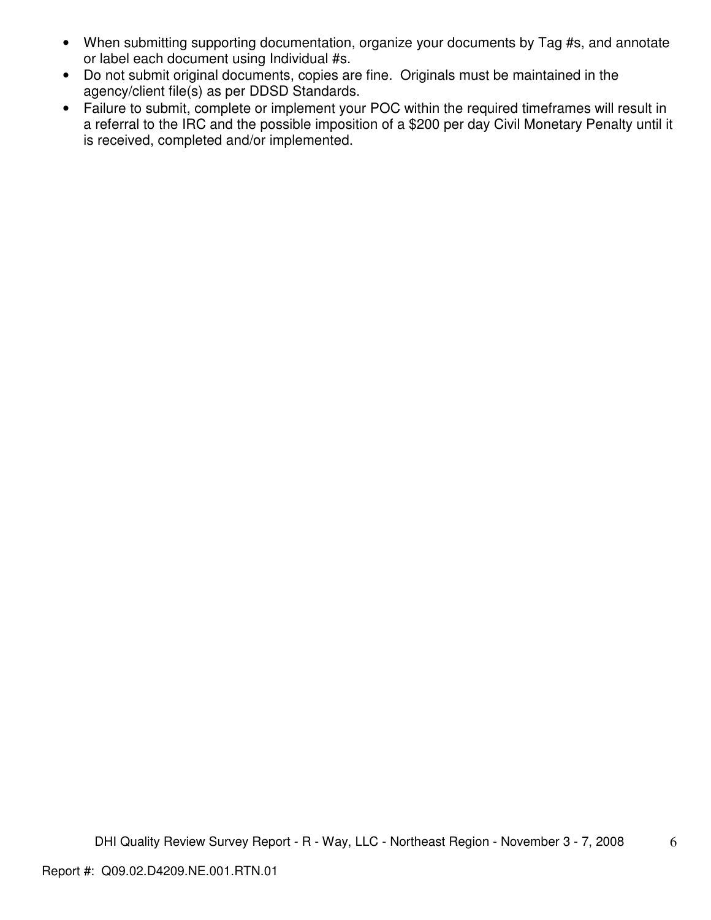- When submitting supporting documentation, organize your documents by Tag #s, and annotate or label each document using Individual #s.
- Do not submit original documents, copies are fine. Originals must be maintained in the agency/client file(s) as per DDSD Standards.
- Failure to submit, complete or implement your POC within the required timeframes will result in a referral to the IRC and the possible imposition of a \$200 per day Civil Monetary Penalty until it is received, completed and/or implemented.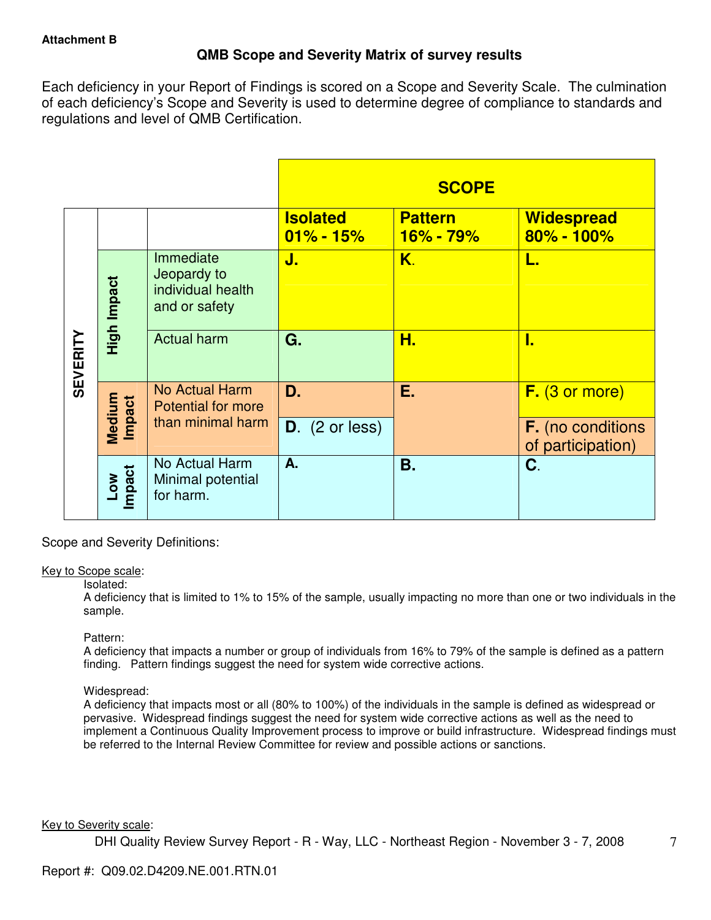# **QMB Scope and Severity Matrix of survey results**

Each deficiency in your Report of Findings is scored on a Scope and Severity Scale. The culmination of each deficiency's Scope and Severity is used to determine degree of compliance to standards and regulations and level of QMB Certification.

|                 |                      |                                                                |                                  | <b>SCOPE</b>                  |                                               |
|-----------------|----------------------|----------------------------------------------------------------|----------------------------------|-------------------------------|-----------------------------------------------|
|                 |                      |                                                                | <b>Isolated</b><br>$01\% - 15\%$ | <b>Pattern</b><br>$16% - 79%$ | <b>Widespread</b><br>$80\% - 100\%$           |
|                 | High Impact          | Immediate<br>Jeopardy to<br>individual health<br>and or safety | J.                               | K.                            | L.                                            |
| <b>SEVERITY</b> |                      | <b>Actual harm</b>                                             | G.                               | Н.                            | I.                                            |
|                 | Medium<br>Impact     | No Actual Harm<br><b>Potential for more</b>                    | D.                               | Е.                            | $F.$ (3 or more)                              |
|                 |                      | than minimal harm                                              | $D.$ (2 or less)                 |                               | <b>F.</b> (no conditions<br>of participation) |
|                 | <b>Impact</b><br>Low | No Actual Harm<br>Minimal potential<br>for harm.               | A.                               | Β.                            | C.                                            |

Scope and Severity Definitions:

## Key to Scope scale:

## Isolated:

A deficiency that is limited to 1% to 15% of the sample, usually impacting no more than one or two individuals in the sample.

## Pattern:

A deficiency that impacts a number or group of individuals from 16% to 79% of the sample is defined as a pattern finding. Pattern findings suggest the need for system wide corrective actions.

# Widespread:

A deficiency that impacts most or all (80% to 100%) of the individuals in the sample is defined as widespread or pervasive. Widespread findings suggest the need for system wide corrective actions as well as the need to implement a Continuous Quality Improvement process to improve or build infrastructure. Widespread findings must be referred to the Internal Review Committee for review and possible actions or sanctions.

## Key to Severity scale: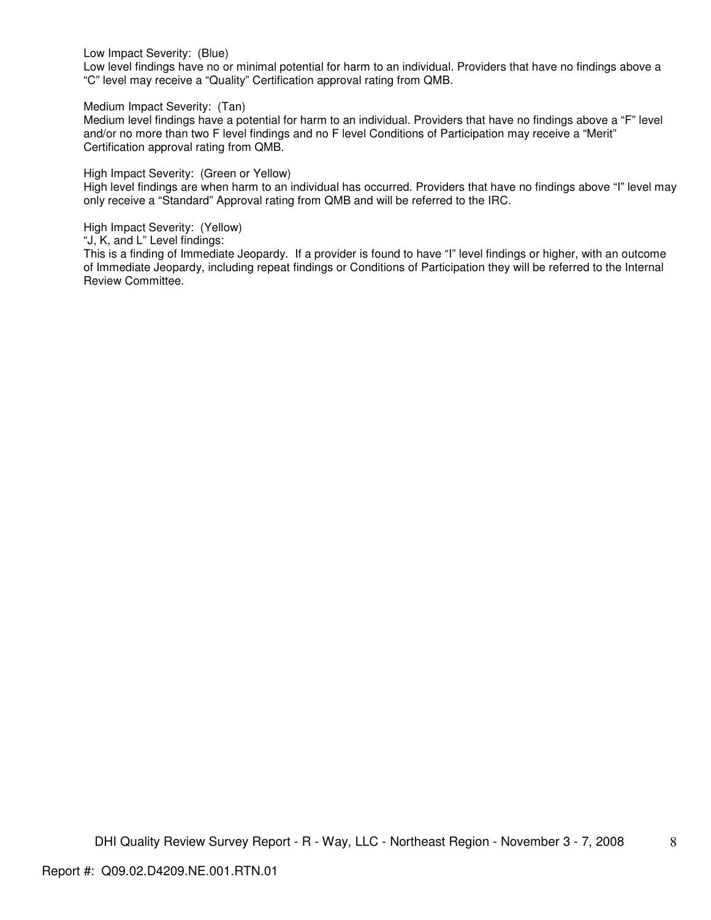Low Impact Severity: (Blue)

Low level findings have no or minimal potential for harm to an individual. Providers that have no findings above a "C" level may receive a "Quality" Certification approval rating from QMB.

Medium Impact Severity: (Tan)

Medium level findings have a potential for harm to an individual. Providers that have no findings above a "F" level and/or no more than two F level findings and no F level Conditions of Participation may receive a "Merit" Certification approval rating from QMB.

High Impact Severity: (Green or Yellow)

High level findings are when harm to an individual has occurred. Providers that have no findings above "I" level may only receive a "Standard" Approval rating from QMB and will be referred to the IRC.

High Impact Severity: (Yellow)

"J, K, and L" Level findings:

This is a finding of Immediate Jeopardy. If a provider is found to have "I" level findings or higher, with an outcome of Immediate Jeopardy, including repeat findings or Conditions of Participation they will be referred to the Internal Review Committee.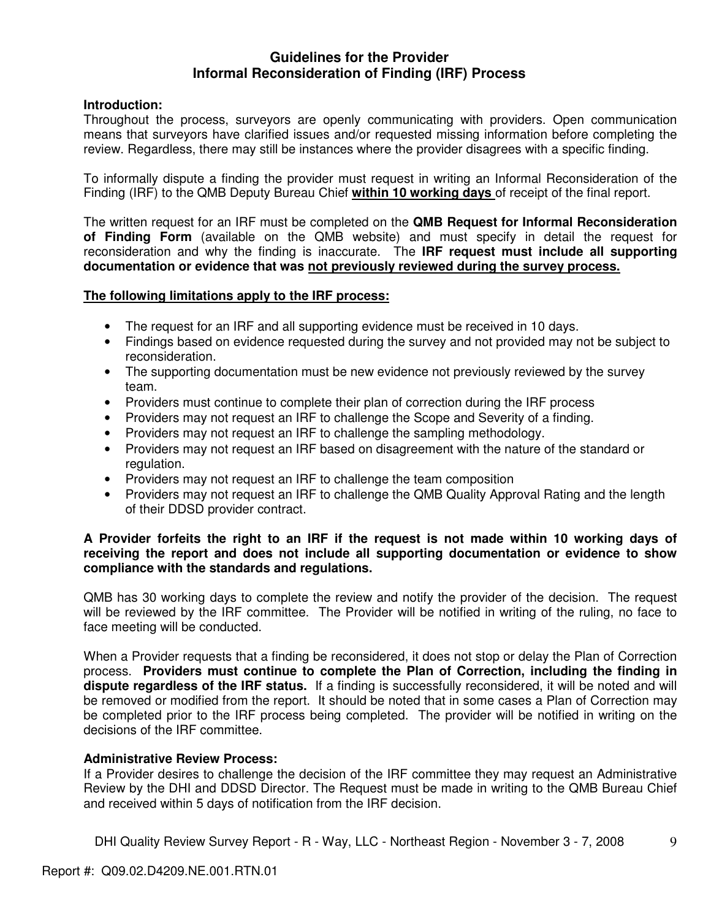# **Guidelines for the Provider Informal Reconsideration of Finding (IRF) Process**

# **Introduction:**

Throughout the process, surveyors are openly communicating with providers. Open communication means that surveyors have clarified issues and/or requested missing information before completing the review. Regardless, there may still be instances where the provider disagrees with a specific finding.

To informally dispute a finding the provider must request in writing an Informal Reconsideration of the Finding (IRF) to the QMB Deputy Bureau Chief **within 10 working days** of receipt of the final report.

The written request for an IRF must be completed on the **QMB Request for Informal Reconsideration of Finding Form** (available on the QMB website) and must specify in detail the request for reconsideration and why the finding is inaccurate. The **IRF request must include all supporting documentation or evidence that was not previously reviewed during the survey process.** 

## **The following limitations apply to the IRF process:**

- The request for an IRF and all supporting evidence must be received in 10 days.
- Findings based on evidence requested during the survey and not provided may not be subject to reconsideration.
- The supporting documentation must be new evidence not previously reviewed by the survey team.
- Providers must continue to complete their plan of correction during the IRF process
- Providers may not request an IRF to challenge the Scope and Severity of a finding.
- Providers may not request an IRF to challenge the sampling methodology.
- Providers may not request an IRF based on disagreement with the nature of the standard or regulation.
- Providers may not request an IRF to challenge the team composition
- Providers may not request an IRF to challenge the QMB Quality Approval Rating and the length of their DDSD provider contract.

## **A Provider forfeits the right to an IRF if the request is not made within 10 working days of receiving the report and does not include all supporting documentation or evidence to show compliance with the standards and regulations.**

QMB has 30 working days to complete the review and notify the provider of the decision. The request will be reviewed by the IRF committee. The Provider will be notified in writing of the ruling, no face to face meeting will be conducted.

When a Provider requests that a finding be reconsidered, it does not stop or delay the Plan of Correction process. **Providers must continue to complete the Plan of Correction, including the finding in dispute regardless of the IRF status.** If a finding is successfully reconsidered, it will be noted and will be removed or modified from the report. It should be noted that in some cases a Plan of Correction may be completed prior to the IRF process being completed. The provider will be notified in writing on the decisions of the IRF committee.

## **Administrative Review Process:**

If a Provider desires to challenge the decision of the IRF committee they may request an Administrative Review by the DHI and DDSD Director. The Request must be made in writing to the QMB Bureau Chief and received within 5 days of notification from the IRF decision.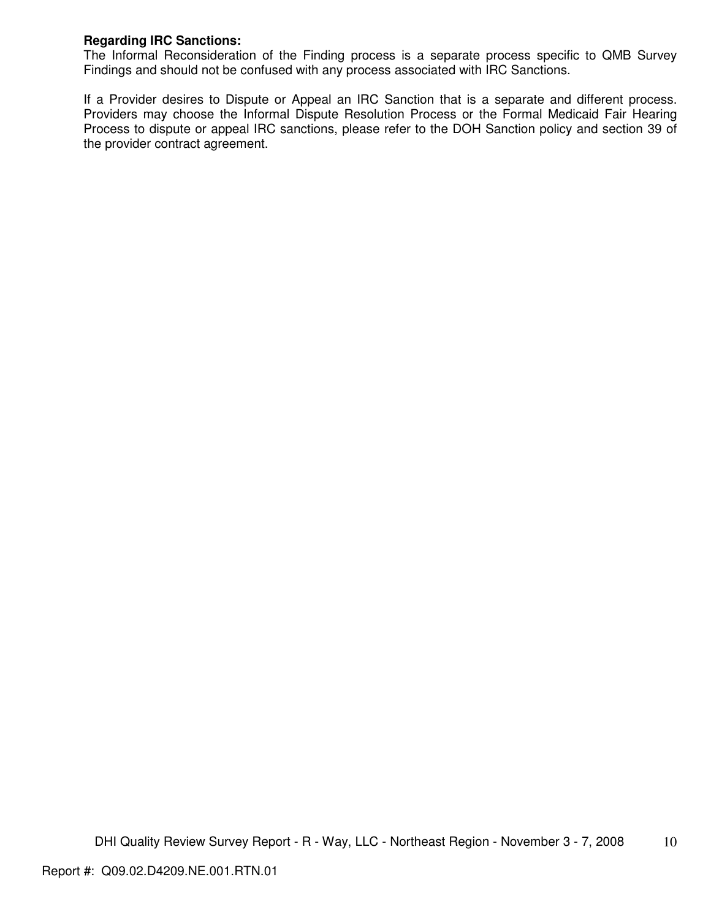# **Regarding IRC Sanctions:**

The Informal Reconsideration of the Finding process is a separate process specific to QMB Survey Findings and should not be confused with any process associated with IRC Sanctions.

If a Provider desires to Dispute or Appeal an IRC Sanction that is a separate and different process. Providers may choose the Informal Dispute Resolution Process or the Formal Medicaid Fair Hearing Process to dispute or appeal IRC sanctions, please refer to the DOH Sanction policy and section 39 of the provider contract agreement.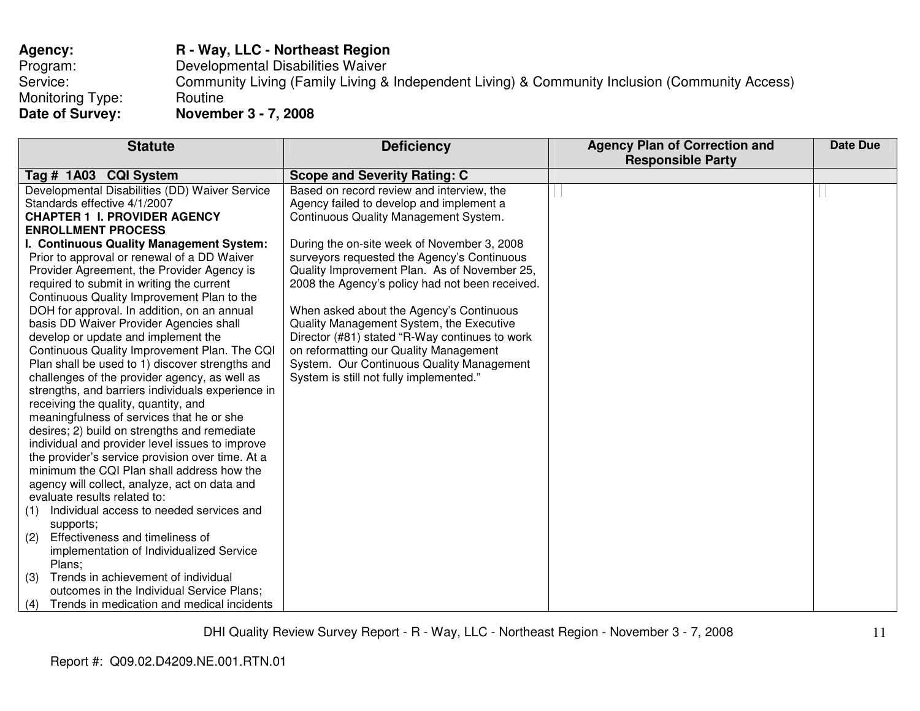| R - Way, LLC - Northeast Region                                                                |
|------------------------------------------------------------------------------------------------|
| Developmental Disabilities Waiver                                                              |
| Community Living (Family Living & Independent Living) & Community Inclusion (Community Access) |
| Routine                                                                                        |
| November 3 - 7, 2008                                                                           |
|                                                                                                |

| <b>Statute</b>                                    | <b>Deficiency</b>                               | <b>Agency Plan of Correction and</b> | <b>Date Due</b> |
|---------------------------------------------------|-------------------------------------------------|--------------------------------------|-----------------|
|                                                   |                                                 | <b>Responsible Party</b>             |                 |
| Tag # 1A03 CQI System                             | <b>Scope and Severity Rating: C</b>             |                                      |                 |
| Developmental Disabilities (DD) Waiver Service    | Based on record review and interview, the       |                                      |                 |
| Standards effective 4/1/2007                      | Agency failed to develop and implement a        |                                      |                 |
| <b>CHAPTER 1 I. PROVIDER AGENCY</b>               | Continuous Quality Management System.           |                                      |                 |
| <b>ENROLLMENT PROCESS</b>                         |                                                 |                                      |                 |
| I. Continuous Quality Management System:          | During the on-site week of November 3, 2008     |                                      |                 |
| Prior to approval or renewal of a DD Waiver       | surveyors requested the Agency's Continuous     |                                      |                 |
| Provider Agreement, the Provider Agency is        | Quality Improvement Plan. As of November 25,    |                                      |                 |
| required to submit in writing the current         | 2008 the Agency's policy had not been received. |                                      |                 |
| Continuous Quality Improvement Plan to the        |                                                 |                                      |                 |
| DOH for approval. In addition, on an annual       | When asked about the Agency's Continuous        |                                      |                 |
| basis DD Waiver Provider Agencies shall           | Quality Management System, the Executive        |                                      |                 |
| develop or update and implement the               | Director (#81) stated "R-Way continues to work  |                                      |                 |
| Continuous Quality Improvement Plan. The CQI      | on reformatting our Quality Management          |                                      |                 |
| Plan shall be used to 1) discover strengths and   | System. Our Continuous Quality Management       |                                      |                 |
| challenges of the provider agency, as well as     | System is still not fully implemented."         |                                      |                 |
| strengths, and barriers individuals experience in |                                                 |                                      |                 |
| receiving the quality, quantity, and              |                                                 |                                      |                 |
| meaningfulness of services that he or she         |                                                 |                                      |                 |
| desires; 2) build on strengths and remediate      |                                                 |                                      |                 |
| individual and provider level issues to improve   |                                                 |                                      |                 |
| the provider's service provision over time. At a  |                                                 |                                      |                 |
| minimum the CQI Plan shall address how the        |                                                 |                                      |                 |
| agency will collect, analyze, act on data and     |                                                 |                                      |                 |
| evaluate results related to:                      |                                                 |                                      |                 |
| Individual access to needed services and<br>(1)   |                                                 |                                      |                 |
| supports;                                         |                                                 |                                      |                 |
| Effectiveness and timeliness of<br>(2)            |                                                 |                                      |                 |
| implementation of Individualized Service          |                                                 |                                      |                 |
| Plans;                                            |                                                 |                                      |                 |
| Trends in achievement of individual<br>(3)        |                                                 |                                      |                 |
| outcomes in the Individual Service Plans;         |                                                 |                                      |                 |
| Trends in medication and medical incidents<br>(4) |                                                 |                                      |                 |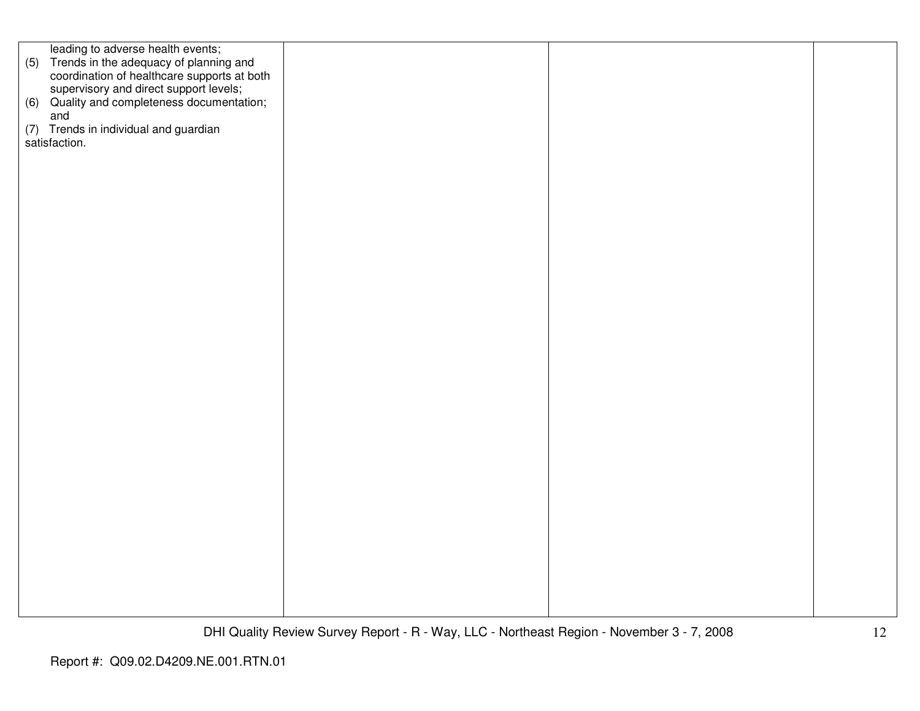| leading to adverse health events;                                                         |  |  |
|-------------------------------------------------------------------------------------------|--|--|
| (5) Trends in the adequacy of planning and<br>coordination of healthcare supports at both |  |  |
|                                                                                           |  |  |
|                                                                                           |  |  |
| supervisory and direct support levels;<br>(6) Quality and completeness documentation;     |  |  |
|                                                                                           |  |  |
| and                                                                                       |  |  |
|                                                                                           |  |  |
| (7) Trends in individual and guardian                                                     |  |  |
| satisfaction.                                                                             |  |  |
|                                                                                           |  |  |
|                                                                                           |  |  |
|                                                                                           |  |  |
|                                                                                           |  |  |
|                                                                                           |  |  |
|                                                                                           |  |  |
|                                                                                           |  |  |
|                                                                                           |  |  |
|                                                                                           |  |  |
|                                                                                           |  |  |
|                                                                                           |  |  |
|                                                                                           |  |  |
|                                                                                           |  |  |
|                                                                                           |  |  |
|                                                                                           |  |  |
|                                                                                           |  |  |
|                                                                                           |  |  |
|                                                                                           |  |  |
|                                                                                           |  |  |
|                                                                                           |  |  |
|                                                                                           |  |  |
|                                                                                           |  |  |
|                                                                                           |  |  |
|                                                                                           |  |  |
|                                                                                           |  |  |
|                                                                                           |  |  |
|                                                                                           |  |  |
|                                                                                           |  |  |
|                                                                                           |  |  |
|                                                                                           |  |  |
|                                                                                           |  |  |
|                                                                                           |  |  |
|                                                                                           |  |  |
|                                                                                           |  |  |
|                                                                                           |  |  |
|                                                                                           |  |  |
|                                                                                           |  |  |
|                                                                                           |  |  |
|                                                                                           |  |  |
|                                                                                           |  |  |
|                                                                                           |  |  |
|                                                                                           |  |  |
|                                                                                           |  |  |
|                                                                                           |  |  |
|                                                                                           |  |  |
|                                                                                           |  |  |
|                                                                                           |  |  |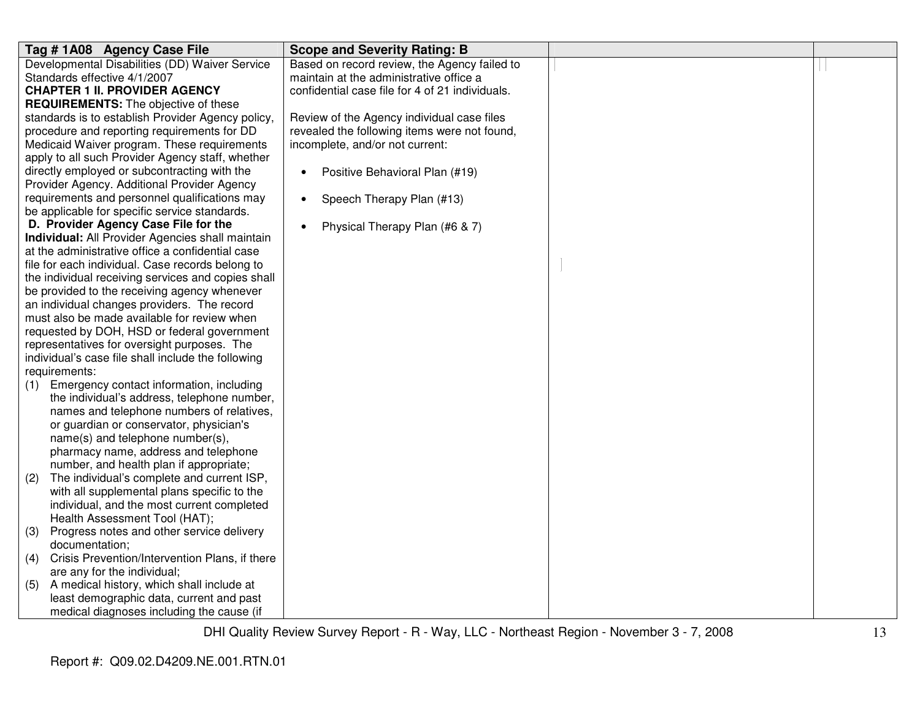| Tag # 1A08 Agency Case File                           | <b>Scope and Severity Rating: B</b>             |  |
|-------------------------------------------------------|-------------------------------------------------|--|
| Developmental Disabilities (DD) Waiver Service        | Based on record review, the Agency failed to    |  |
| Standards effective 4/1/2007                          | maintain at the administrative office a         |  |
| <b>CHAPTER 1 II. PROVIDER AGENCY</b>                  | confidential case file for 4 of 21 individuals. |  |
| <b>REQUIREMENTS:</b> The objective of these           |                                                 |  |
| standards is to establish Provider Agency policy,     | Review of the Agency individual case files      |  |
| procedure and reporting requirements for DD           | revealed the following items were not found,    |  |
| Medicaid Waiver program. These requirements           | incomplete, and/or not current:                 |  |
| apply to all such Provider Agency staff, whether      |                                                 |  |
| directly employed or subcontracting with the          | Positive Behavioral Plan (#19)<br>$\bullet$     |  |
| Provider Agency. Additional Provider Agency           |                                                 |  |
| requirements and personnel qualifications may         | Speech Therapy Plan (#13)<br>$\bullet$          |  |
| be applicable for specific service standards.         |                                                 |  |
| D. Provider Agency Case File for the                  | Physical Therapy Plan (#6 & 7)<br>$\bullet$     |  |
| Individual: All Provider Agencies shall maintain      |                                                 |  |
| at the administrative office a confidential case      |                                                 |  |
| file for each individual. Case records belong to      |                                                 |  |
| the individual receiving services and copies shall    |                                                 |  |
| be provided to the receiving agency whenever          |                                                 |  |
| an individual changes providers. The record           |                                                 |  |
| must also be made available for review when           |                                                 |  |
| requested by DOH, HSD or federal government           |                                                 |  |
| representatives for oversight purposes. The           |                                                 |  |
| individual's case file shall include the following    |                                                 |  |
| requirements:                                         |                                                 |  |
| Emergency contact information, including<br>(1)       |                                                 |  |
| the individual's address, telephone number,           |                                                 |  |
| names and telephone numbers of relatives,             |                                                 |  |
| or guardian or conservator, physician's               |                                                 |  |
| name(s) and telephone number(s),                      |                                                 |  |
| pharmacy name, address and telephone                  |                                                 |  |
| number, and health plan if appropriate;               |                                                 |  |
| The individual's complete and current ISP,<br>(2)     |                                                 |  |
| with all supplemental plans specific to the           |                                                 |  |
| individual, and the most current completed            |                                                 |  |
| Health Assessment Tool (HAT);                         |                                                 |  |
| Progress notes and other service delivery<br>(3)      |                                                 |  |
| documentation;                                        |                                                 |  |
| Crisis Prevention/Intervention Plans, if there<br>(4) |                                                 |  |
| are any for the individual;                           |                                                 |  |
| A medical history, which shall include at<br>(5)      |                                                 |  |
| least demographic data, current and past              |                                                 |  |
| medical diagnoses including the cause (if             |                                                 |  |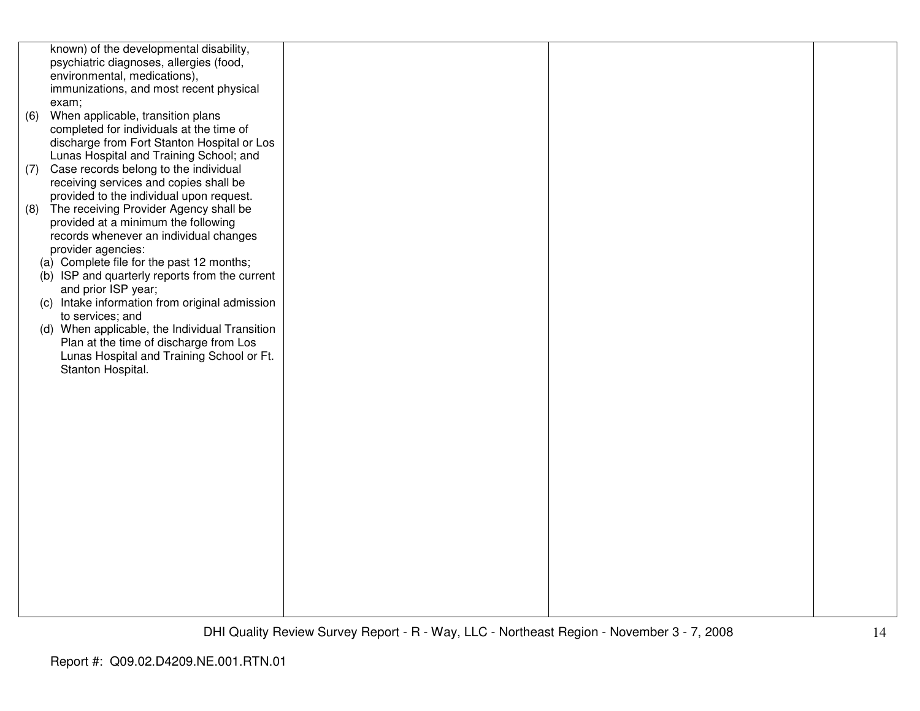|     | known) of the developmental disability,<br>psychiatric diagnoses, allergies (food, |  |  |
|-----|------------------------------------------------------------------------------------|--|--|
|     | environmental, medications),                                                       |  |  |
|     | immunizations, and most recent physical                                            |  |  |
|     | exam;                                                                              |  |  |
| (6) | When applicable, transition plans                                                  |  |  |
|     | completed for individuals at the time of                                           |  |  |
|     | discharge from Fort Stanton Hospital or Los                                        |  |  |
|     | Lunas Hospital and Training School; and                                            |  |  |
| (7) | Case records belong to the individual                                              |  |  |
|     | receiving services and copies shall be                                             |  |  |
|     | provided to the individual upon request.                                           |  |  |
| (8) | The receiving Provider Agency shall be                                             |  |  |
|     | provided at a minimum the following                                                |  |  |
|     | records whenever an individual changes                                             |  |  |
|     | provider agencies:                                                                 |  |  |
|     | (a) Complete file for the past 12 months;                                          |  |  |
|     | (b) ISP and quarterly reports from the current<br>and prior ISP year;              |  |  |
|     | (c) Intake information from original admission                                     |  |  |
|     | to services; and                                                                   |  |  |
|     | (d) When applicable, the Individual Transition                                     |  |  |
|     | Plan at the time of discharge from Los                                             |  |  |
|     | Lunas Hospital and Training School or Ft.                                          |  |  |
|     | Stanton Hospital.                                                                  |  |  |
|     |                                                                                    |  |  |
|     |                                                                                    |  |  |
|     |                                                                                    |  |  |
|     |                                                                                    |  |  |
|     |                                                                                    |  |  |
|     |                                                                                    |  |  |
|     |                                                                                    |  |  |
|     |                                                                                    |  |  |
|     |                                                                                    |  |  |
|     |                                                                                    |  |  |
|     |                                                                                    |  |  |
|     |                                                                                    |  |  |
|     |                                                                                    |  |  |
|     |                                                                                    |  |  |
|     |                                                                                    |  |  |
|     |                                                                                    |  |  |
|     |                                                                                    |  |  |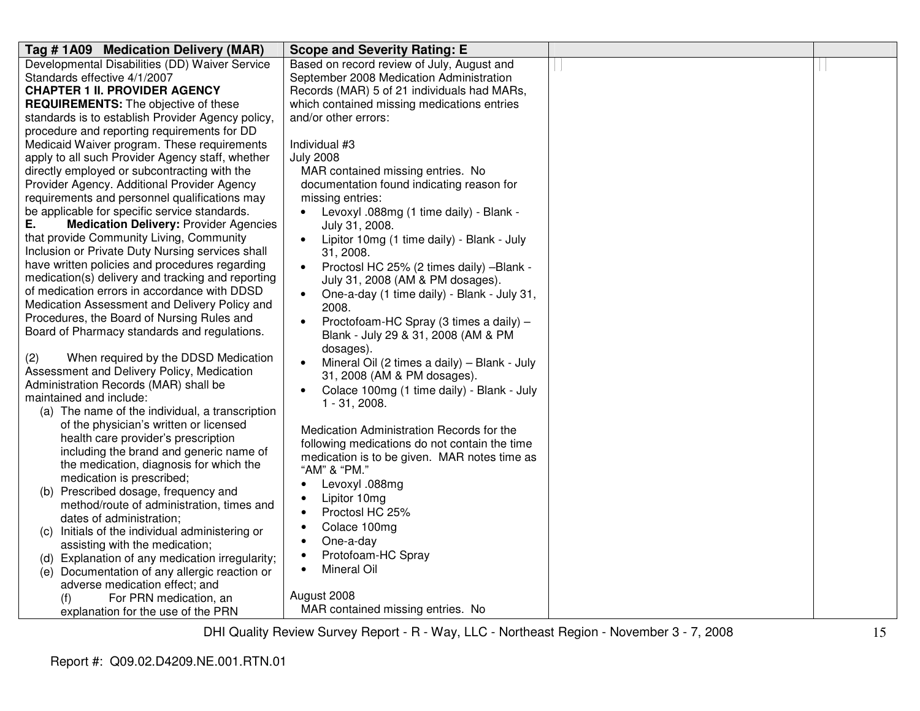| Tag #1A09 Medication Delivery (MAR)                                                       | <b>Scope and Severity Rating: E</b>                       |  |
|-------------------------------------------------------------------------------------------|-----------------------------------------------------------|--|
| Developmental Disabilities (DD) Waiver Service                                            | Based on record review of July, August and                |  |
| Standards effective 4/1/2007                                                              | September 2008 Medication Administration                  |  |
| <b>CHAPTER 1 II. PROVIDER AGENCY</b>                                                      | Records (MAR) 5 of 21 individuals had MARs,               |  |
| <b>REQUIREMENTS:</b> The objective of these                                               | which contained missing medications entries               |  |
| standards is to establish Provider Agency policy,                                         | and/or other errors:                                      |  |
| procedure and reporting requirements for DD                                               |                                                           |  |
| Medicaid Waiver program. These requirements                                               | Individual #3                                             |  |
| apply to all such Provider Agency staff, whether                                          | <b>July 2008</b>                                          |  |
| directly employed or subcontracting with the                                              | MAR contained missing entries. No                         |  |
| Provider Agency. Additional Provider Agency                                               | documentation found indicating reason for                 |  |
| requirements and personnel qualifications may                                             | missing entries:                                          |  |
| be applicable for specific service standards.                                             | Levoxyl .088mg (1 time daily) - Blank -                   |  |
| Ε.<br><b>Medication Delivery: Provider Agencies</b>                                       | July 31, 2008.                                            |  |
| that provide Community Living, Community                                                  | Lipitor 10mg (1 time daily) - Blank - July                |  |
| Inclusion or Private Duty Nursing services shall                                          | 31, 2008.                                                 |  |
| have written policies and procedures regarding                                            | Proctosl HC 25% (2 times daily) -Blank -                  |  |
| medication(s) delivery and tracking and reporting                                         | July 31, 2008 (AM & PM dosages).                          |  |
| of medication errors in accordance with DDSD                                              | One-a-day (1 time daily) - Blank - July 31,<br>$\bullet$  |  |
| Medication Assessment and Delivery Policy and                                             | 2008.                                                     |  |
| Procedures, the Board of Nursing Rules and                                                | Proctofoam-HC Spray (3 times a daily) -<br>$\bullet$      |  |
| Board of Pharmacy standards and regulations.                                              | Blank - July 29 & 31, 2008 (AM & PM                       |  |
|                                                                                           | dosages).                                                 |  |
| (2)<br>When required by the DDSD Medication<br>Assessment and Delivery Policy, Medication | Mineral Oil (2 times a daily) - Blank - July<br>$\bullet$ |  |
| Administration Records (MAR) shall be                                                     | 31, 2008 (AM & PM dosages).                               |  |
| maintained and include:                                                                   | Colace 100mg (1 time daily) - Blank - July                |  |
| (a) The name of the individual, a transcription                                           | $1 - 31, 2008.$                                           |  |
| of the physician's written or licensed                                                    |                                                           |  |
| health care provider's prescription                                                       | Medication Administration Records for the                 |  |
| including the brand and generic name of                                                   | following medications do not contain the time             |  |
| the medication, diagnosis for which the                                                   | medication is to be given. MAR notes time as              |  |
| medication is prescribed;                                                                 | "AM" & "PM."                                              |  |
| (b) Prescribed dosage, frequency and                                                      | Levoxyl .088mg<br>$\bullet$                               |  |
| method/route of administration, times and                                                 | Lipitor 10mg                                              |  |
| dates of administration;                                                                  | Proctosl HC 25%                                           |  |
| Initials of the individual administering or<br>(C)                                        | Colace 100mg<br>$\bullet$                                 |  |
| assisting with the medication;                                                            | One-a-day<br>$\bullet$                                    |  |
| (d) Explanation of any medication irregularity;                                           | Protofoam-HC Spray<br>$\bullet$                           |  |
| (e) Documentation of any allergic reaction or                                             | Mineral Oil                                               |  |
| adverse medication effect; and                                                            |                                                           |  |
| For PRN medication, an<br>(f)                                                             | August 2008                                               |  |
| explanation for the use of the PRN                                                        | MAR contained missing entries. No                         |  |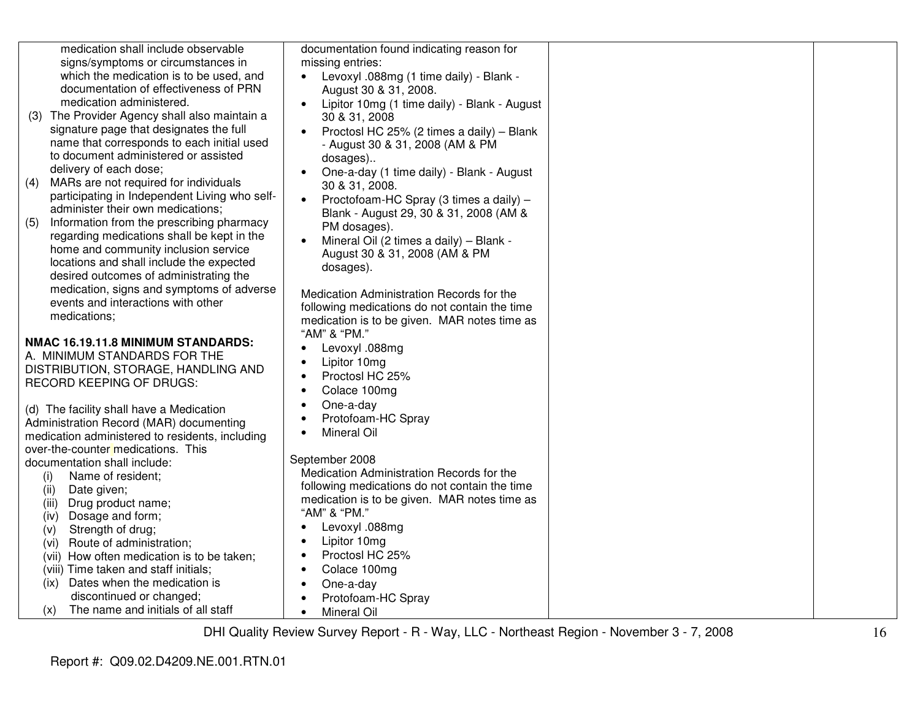medication shall include observable signs/symptoms or circumstances in which the medication is to be used, and documentation of effectiveness of PRN medication administered.

- (3) The Provider Agency shall also maintain a signature page that designates the full name that corresponds to each initial used to document administered or assisted delivery of each dose;
- (4) MARs are not required for individuals participating in Independent Living who selfadminister their own medications;
- (5) Information from the prescribing pharmacy regarding medications shall be kept in the home and community inclusion service locations and shall include the expected desired outcomes of administrating the medication, signs and symptoms of adverse events and interactions with other medications;

## **NMAC 16.19.11.8 MINIMUM STANDARDS:**

A. MINIMUM STANDARDS FOR THE DISTRIBUTION, STORAGE, HANDLING AND RECORD KEEPING OF DRUGS:

(d) The facility shall have a Medication Administration Record (MAR) documenting medication administered to residents, including over-the-counter medications. This documentation shall include:

 (i) Name of resident; (ii) Date given; (iii) Drug product name; (iv) Dosage and form; (v) Strength of drug; (vi) Route of administration; (vii) How often medication is to be taken; (viii) Time taken and staff initials; (ix) Dates when the medication is discontinued or changed; Medication Administration Records for the following medications do not contain the time medication is to be given. MAR notes time as "AM" & "PM." • Levoxyl .088mg

 (x) The name and initials of all staff • Lipitor 10mg • Proctosl HC 25% • Colace 100mg • One-a-day • Protofoam-HC Spray • Mineral Oil

documentation found indicating reason for

• Levoxyl .088mg (1 time daily) - Blank -

• Lipitor 10mg (1 time daily) - Blank - August

 • Proctosl HC 25% (2 times a daily) – Blank - August 30 & 31, 2008 (AM & PM

• One-a-day (1 time daily) - Blank - August

 • Proctofoam-HC Spray (3 times a daily) –Blank - August 29, 30 & 31, 2008 (AM &

 • Mineral Oil (2 times a daily) – Blank - August 30 & 31, 2008 (AM & PM

Medication Administration Records for the following medications do not contain the time medication is to be given. MAR notes time as

August 30 & 31, 2008.

30 & 31, 2008

30 & 31, 2008.

PM dosages).

dosages).

"AM" & "PM."

• Mineral Oil

September 2008

• Levoxyl .088mg • Lipitor 10mg • Proctosl HC 25% • Colace 100mg • One-a-day

• Protofoam-HC Spray

dosages)..

missing entries: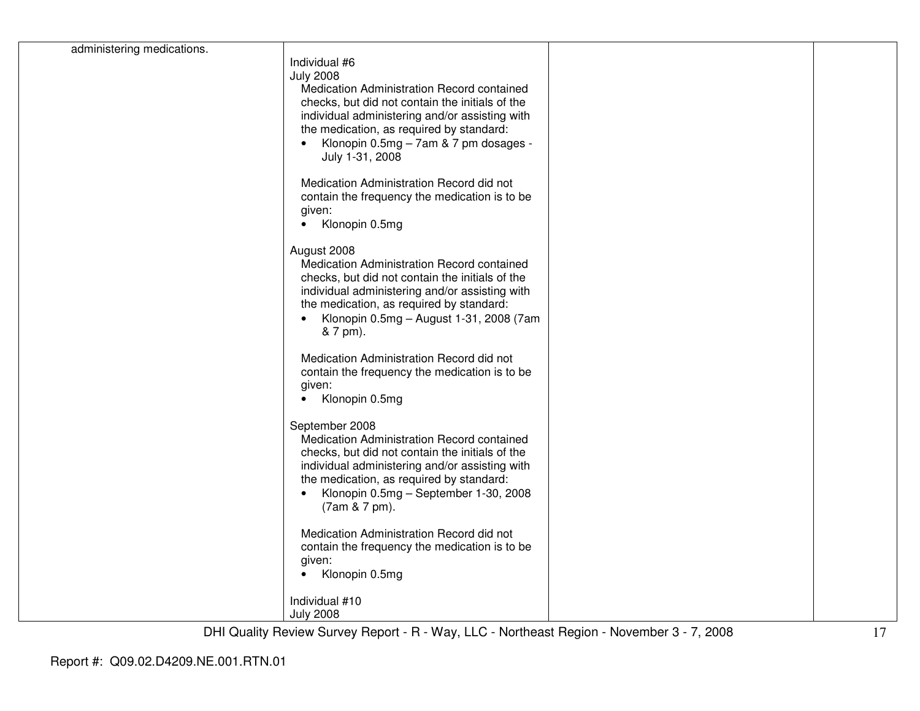| administering medications. | Individual #6<br><b>July 2008</b><br>Medication Administration Record contained<br>checks, but did not contain the initials of the                                                                                                                                                   |  |
|----------------------------|--------------------------------------------------------------------------------------------------------------------------------------------------------------------------------------------------------------------------------------------------------------------------------------|--|
|                            | individual administering and/or assisting with<br>the medication, as required by standard:<br>Klonopin 0.5mg - 7am & 7 pm dosages -<br>July 1-31, 2008                                                                                                                               |  |
|                            | Medication Administration Record did not<br>contain the frequency the medication is to be<br>given:<br>Klonopin 0.5mg<br>$\bullet$                                                                                                                                                   |  |
|                            | August 2008<br>Medication Administration Record contained<br>checks, but did not contain the initials of the<br>individual administering and/or assisting with<br>the medication, as required by standard:<br>Klonopin 0.5mg - August 1-31, 2008 (7am<br>& 7 pm).                    |  |
|                            | Medication Administration Record did not<br>contain the frequency the medication is to be<br>given:<br>Klonopin 0.5mg<br>$\bullet$                                                                                                                                                   |  |
|                            | September 2008<br>Medication Administration Record contained<br>checks, but did not contain the initials of the<br>individual administering and/or assisting with<br>the medication, as required by standard:<br>Klonopin 0.5mg - September 1-30, 2008<br>$\bullet$<br>(7am & 7 pm). |  |
|                            | Medication Administration Record did not<br>contain the frequency the medication is to be<br>given:<br>Klonopin 0.5mg                                                                                                                                                                |  |
|                            | Individual #10<br><b>July 2008</b>                                                                                                                                                                                                                                                   |  |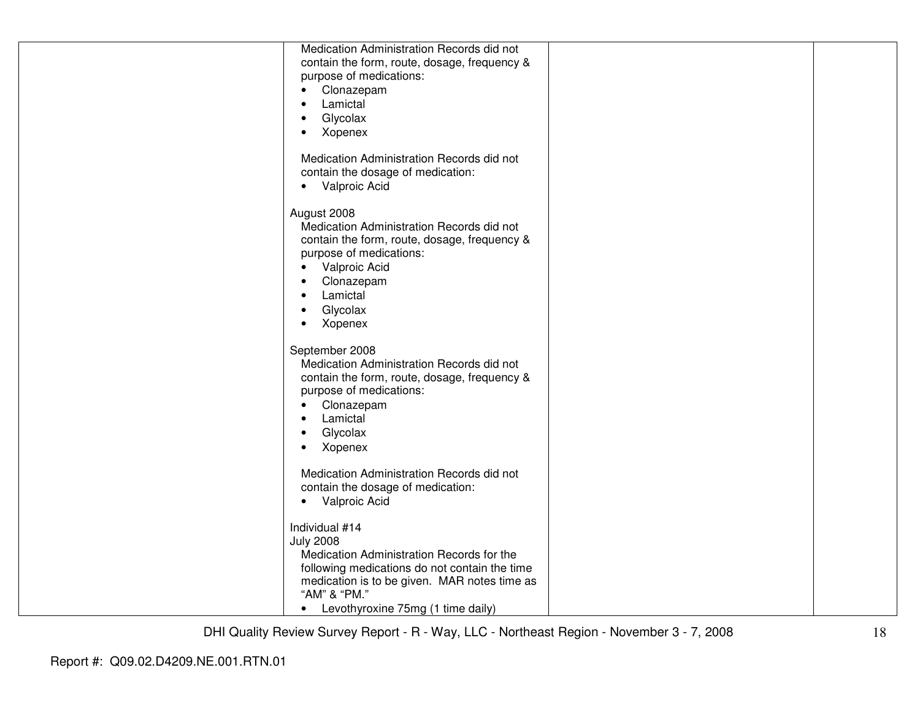| Medication Administration Records did not<br>contain the form, route, dosage, frequency &<br>purpose of medications:<br>Clonazepam<br>$\bullet$<br>Lamictal<br>$\bullet$<br>Glycolax<br>$\bullet$                                                                      |  |
|------------------------------------------------------------------------------------------------------------------------------------------------------------------------------------------------------------------------------------------------------------------------|--|
| Xopenex<br>$\bullet$<br>Medication Administration Records did not<br>contain the dosage of medication:<br>Valproic Acid<br>$\bullet$                                                                                                                                   |  |
| August 2008<br>Medication Administration Records did not<br>contain the form, route, dosage, frequency &<br>purpose of medications:<br>Valproic Acid<br>$\bullet$<br>Clonazepam<br>$\bullet$<br>Lamictal<br>$\bullet$<br>Glycolax<br>$\bullet$<br>Xopenex<br>$\bullet$ |  |
| September 2008<br>Medication Administration Records did not<br>contain the form, route, dosage, frequency &<br>purpose of medications:<br>Clonazepam<br>$\bullet$<br>Lamictal<br>$\bullet$<br>Glycolax<br>$\bullet$<br>Xopenex<br>$\bullet$                            |  |
| Medication Administration Records did not<br>contain the dosage of medication:<br>Valproic Acid<br>$\bullet$                                                                                                                                                           |  |
| Individual #14<br><b>July 2008</b><br>Medication Administration Records for the<br>following medications do not contain the time<br>medication is to be given. MAR notes time as<br>"AM" & "PM."<br>• Levothyroxine 75mg (1 time daily)                                |  |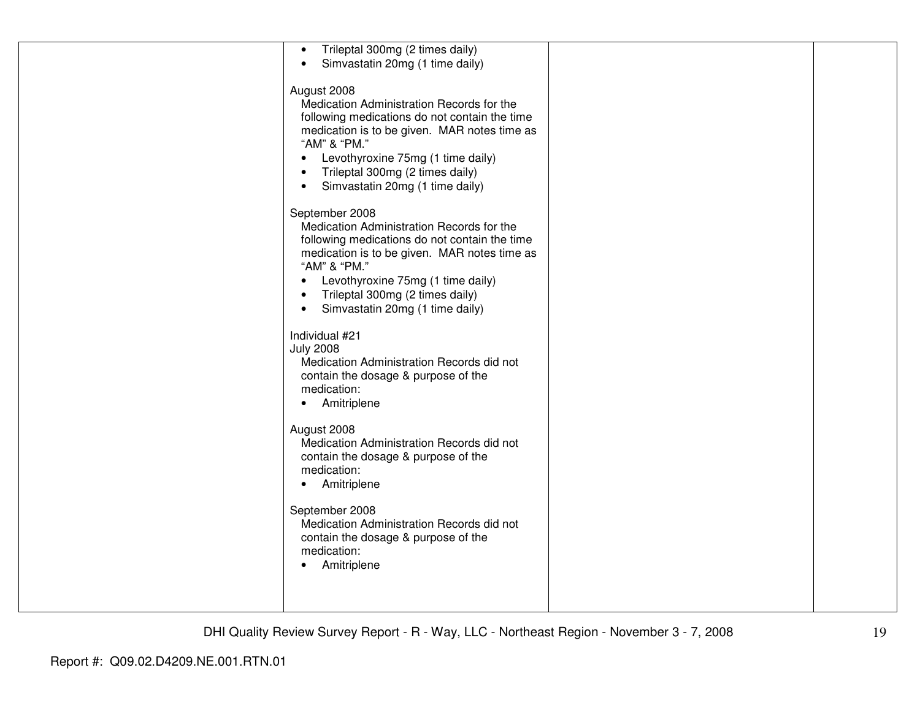| Trileptal 300mg (2 times daily)<br>$\bullet$<br>Simvastatin 20mg (1 time daily)<br>$\bullet$                                                                                                                                                                                                                                   |  |
|--------------------------------------------------------------------------------------------------------------------------------------------------------------------------------------------------------------------------------------------------------------------------------------------------------------------------------|--|
| August 2008<br>Medication Administration Records for the<br>following medications do not contain the time<br>medication is to be given. MAR notes time as<br>"AM" & "PM."<br>Levothyroxine 75mg (1 time daily)<br>$\bullet$<br>Trileptal 300mg (2 times daily)<br>$\bullet$<br>Simvastatin 20mg (1 time daily)<br>$\bullet$    |  |
| September 2008<br>Medication Administration Records for the<br>following medications do not contain the time<br>medication is to be given. MAR notes time as<br>"AM" & "PM."<br>Levothyroxine 75mg (1 time daily)<br>$\bullet$<br>Trileptal 300mg (2 times daily)<br>$\bullet$<br>Simvastatin 20mg (1 time daily)<br>$\bullet$ |  |
| Individual #21<br><b>July 2008</b><br>Medication Administration Records did not<br>contain the dosage & purpose of the<br>medication:<br>Amitriplene<br>$\bullet$                                                                                                                                                              |  |
| August 2008<br>Medication Administration Records did not<br>contain the dosage & purpose of the<br>medication:<br>Amitriplene<br>$\bullet$                                                                                                                                                                                     |  |
| September 2008<br>Medication Administration Records did not<br>contain the dosage & purpose of the<br>medication:<br>Amitriplene<br>$\bullet$                                                                                                                                                                                  |  |
|                                                                                                                                                                                                                                                                                                                                |  |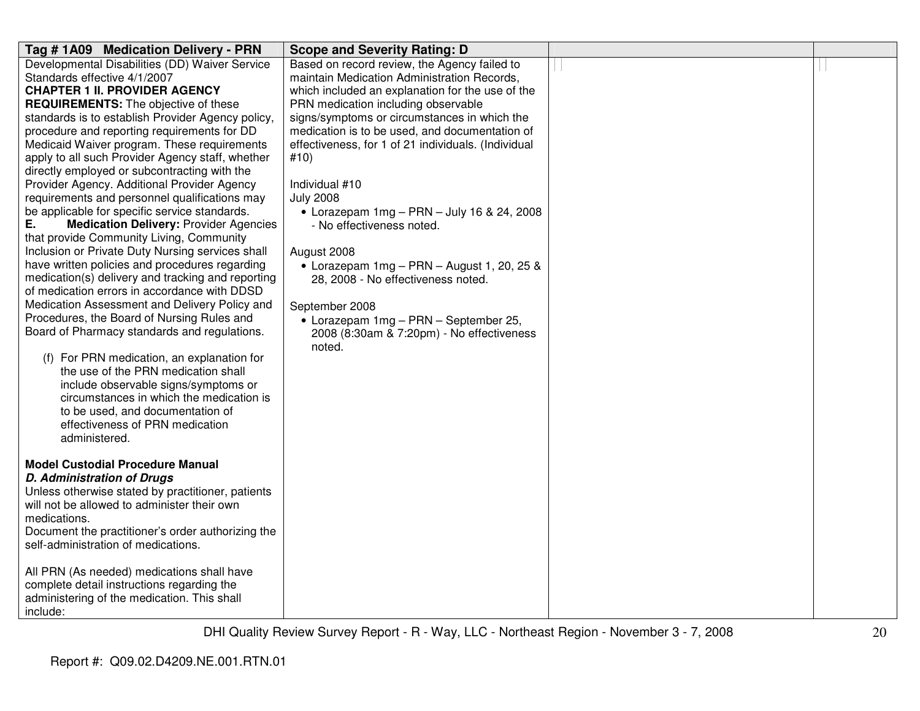| Tag #1A09 Medication Delivery - PRN                                                  | <b>Scope and Severity Rating: D</b>                 |  |
|--------------------------------------------------------------------------------------|-----------------------------------------------------|--|
| Developmental Disabilities (DD) Waiver Service                                       | Based on record review, the Agency failed to        |  |
| Standards effective 4/1/2007                                                         | maintain Medication Administration Records,         |  |
| <b>CHAPTER 1 II. PROVIDER AGENCY</b>                                                 | which included an explanation for the use of the    |  |
| <b>REQUIREMENTS:</b> The objective of these                                          | PRN medication including observable                 |  |
| standards is to establish Provider Agency policy,                                    | signs/symptoms or circumstances in which the        |  |
| procedure and reporting requirements for DD                                          | medication is to be used, and documentation of      |  |
| Medicaid Waiver program. These requirements                                          | effectiveness, for 1 of 21 individuals. (Individual |  |
| apply to all such Provider Agency staff, whether                                     | #10)                                                |  |
| directly employed or subcontracting with the                                         |                                                     |  |
| Provider Agency. Additional Provider Agency                                          | Individual #10                                      |  |
| requirements and personnel qualifications may                                        | <b>July 2008</b>                                    |  |
| be applicable for specific service standards.                                        | $\bullet$ Lorazepam 1mg - PRN - July 16 & 24, 2008  |  |
| Е.<br><b>Medication Delivery: Provider Agencies</b>                                  | - No effectiveness noted.                           |  |
| that provide Community Living, Community                                             |                                                     |  |
| Inclusion or Private Duty Nursing services shall                                     | August 2008                                         |  |
| have written policies and procedures regarding                                       | • Lorazepam $1mg - PRN - August 1, 20, 25 &$        |  |
| medication(s) delivery and tracking and reporting                                    | 28, 2008 - No effectiveness noted.                  |  |
| of medication errors in accordance with DDSD                                         |                                                     |  |
| Medication Assessment and Delivery Policy and                                        | September 2008                                      |  |
| Procedures, the Board of Nursing Rules and                                           | • Lorazepam 1mg - PRN - September 25,               |  |
| Board of Pharmacy standards and regulations.                                         | 2008 (8:30am & 7:20pm) - No effectiveness           |  |
|                                                                                      | noted.                                              |  |
| For PRN medication, an explanation for<br>(f)<br>the use of the PRN medication shall |                                                     |  |
| include observable signs/symptoms or                                                 |                                                     |  |
| circumstances in which the medication is                                             |                                                     |  |
| to be used, and documentation of                                                     |                                                     |  |
| effectiveness of PRN medication                                                      |                                                     |  |
| administered.                                                                        |                                                     |  |
|                                                                                      |                                                     |  |
| <b>Model Custodial Procedure Manual</b>                                              |                                                     |  |
| <b>D. Administration of Drugs</b>                                                    |                                                     |  |
| Unless otherwise stated by practitioner, patients                                    |                                                     |  |
| will not be allowed to administer their own                                          |                                                     |  |
| medications.                                                                         |                                                     |  |
| Document the practitioner's order authorizing the                                    |                                                     |  |
| self-administration of medications.                                                  |                                                     |  |
|                                                                                      |                                                     |  |
| All PRN (As needed) medications shall have                                           |                                                     |  |
| complete detail instructions regarding the                                           |                                                     |  |
| administering of the medication. This shall                                          |                                                     |  |
| include:                                                                             |                                                     |  |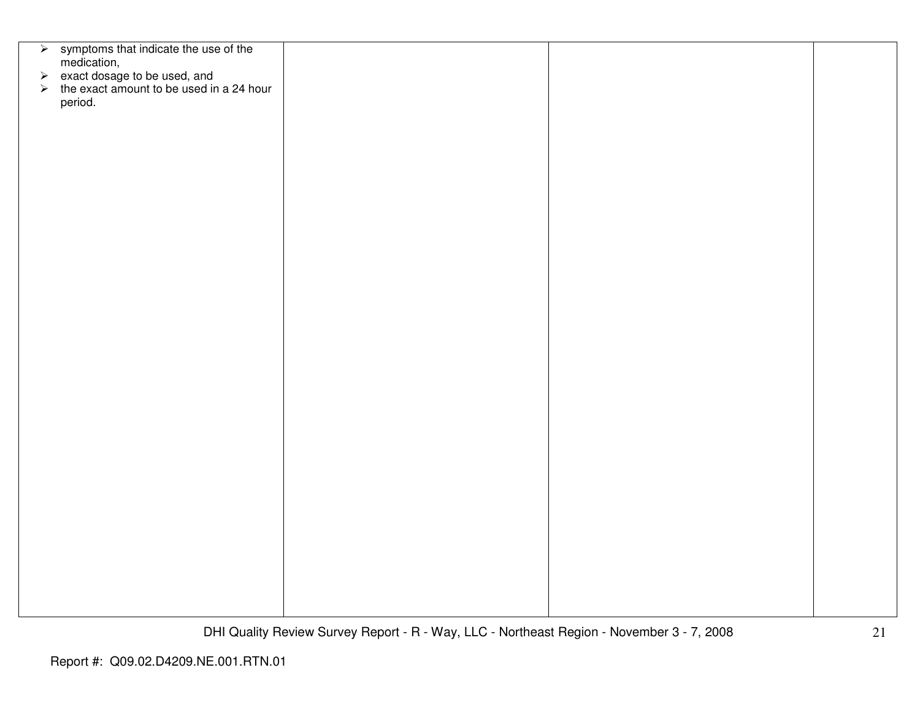| $\triangleright$ symptoms that indicate the use of the                                                                    |  |  |
|---------------------------------------------------------------------------------------------------------------------------|--|--|
|                                                                                                                           |  |  |
| medication,<br>$\triangleright$ exact dosage to be used, and<br>$\triangleright$ the exact amount to be used in a 24 hour |  |  |
|                                                                                                                           |  |  |
|                                                                                                                           |  |  |
| period.                                                                                                                   |  |  |
|                                                                                                                           |  |  |
|                                                                                                                           |  |  |
|                                                                                                                           |  |  |
|                                                                                                                           |  |  |
|                                                                                                                           |  |  |
|                                                                                                                           |  |  |
|                                                                                                                           |  |  |
|                                                                                                                           |  |  |
|                                                                                                                           |  |  |
|                                                                                                                           |  |  |
|                                                                                                                           |  |  |
|                                                                                                                           |  |  |
|                                                                                                                           |  |  |
|                                                                                                                           |  |  |
|                                                                                                                           |  |  |
|                                                                                                                           |  |  |
|                                                                                                                           |  |  |
|                                                                                                                           |  |  |
|                                                                                                                           |  |  |
|                                                                                                                           |  |  |
|                                                                                                                           |  |  |
|                                                                                                                           |  |  |
|                                                                                                                           |  |  |
|                                                                                                                           |  |  |
|                                                                                                                           |  |  |
|                                                                                                                           |  |  |
|                                                                                                                           |  |  |
|                                                                                                                           |  |  |
|                                                                                                                           |  |  |
|                                                                                                                           |  |  |
|                                                                                                                           |  |  |
|                                                                                                                           |  |  |
|                                                                                                                           |  |  |
|                                                                                                                           |  |  |
|                                                                                                                           |  |  |
|                                                                                                                           |  |  |
|                                                                                                                           |  |  |
|                                                                                                                           |  |  |
|                                                                                                                           |  |  |
|                                                                                                                           |  |  |
|                                                                                                                           |  |  |
|                                                                                                                           |  |  |
|                                                                                                                           |  |  |
|                                                                                                                           |  |  |
|                                                                                                                           |  |  |
|                                                                                                                           |  |  |
|                                                                                                                           |  |  |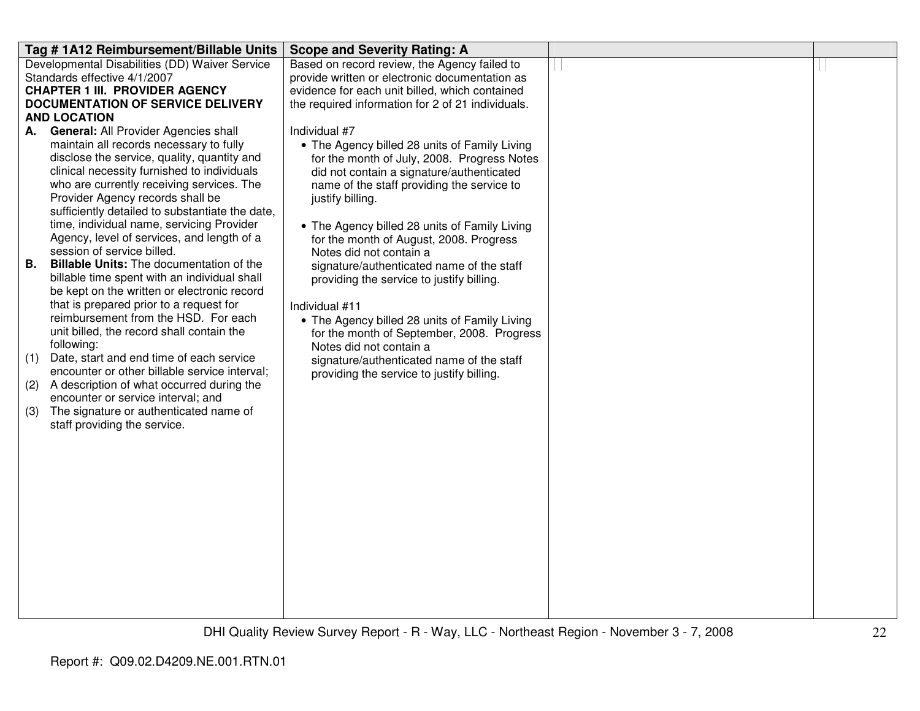| Tag #1A12 Reimbursement/Billable Units                                                           | <b>Scope and Severity Rating: A</b>                            |  |
|--------------------------------------------------------------------------------------------------|----------------------------------------------------------------|--|
| Developmental Disabilities (DD) Waiver Service                                                   | Based on record review, the Agency failed to                   |  |
| Standards effective 4/1/2007                                                                     | provide written or electronic documentation as                 |  |
| <b>CHAPTER 1 III. PROVIDER AGENCY</b>                                                            | evidence for each unit billed, which contained                 |  |
| <b>DOCUMENTATION OF SERVICE DELIVERY</b>                                                         | the required information for 2 of 21 individuals.              |  |
| <b>AND LOCATION</b>                                                                              |                                                                |  |
| General: All Provider Agencies shall<br>А.                                                       | Individual #7                                                  |  |
| maintain all records necessary to fully                                                          | • The Agency billed 28 units of Family Living                  |  |
| disclose the service, quality, quantity and<br>clinical necessity furnished to individuals       | for the month of July, 2008. Progress Notes                    |  |
| who are currently receiving services. The                                                        | did not contain a signature/authenticated                      |  |
| Provider Agency records shall be                                                                 | name of the staff providing the service to<br>justify billing. |  |
| sufficiently detailed to substantiate the date,                                                  |                                                                |  |
| time, individual name, servicing Provider                                                        | • The Agency billed 28 units of Family Living                  |  |
| Agency, level of services, and length of a                                                       | for the month of August, 2008. Progress                        |  |
| session of service billed.                                                                       | Notes did not contain a                                        |  |
| <b>Billable Units:</b> The documentation of the<br>В.                                            | signature/authenticated name of the staff                      |  |
| billable time spent with an individual shall                                                     | providing the service to justify billing.                      |  |
| be kept on the written or electronic record                                                      |                                                                |  |
| that is prepared prior to a request for                                                          | Individual #11                                                 |  |
| reimbursement from the HSD. For each                                                             | • The Agency billed 28 units of Family Living                  |  |
| unit billed, the record shall contain the                                                        | for the month of September, 2008. Progress                     |  |
| following:                                                                                       | Notes did not contain a                                        |  |
| Date, start and end time of each service<br>(1)<br>encounter or other billable service interval; | signature/authenticated name of the staff                      |  |
| A description of what occurred during the<br>(2)                                                 | providing the service to justify billing.                      |  |
| encounter or service interval; and                                                               |                                                                |  |
| The signature or authenticated name of<br>(3)                                                    |                                                                |  |
| staff providing the service.                                                                     |                                                                |  |
|                                                                                                  |                                                                |  |
|                                                                                                  |                                                                |  |
|                                                                                                  |                                                                |  |
|                                                                                                  |                                                                |  |
|                                                                                                  |                                                                |  |
|                                                                                                  |                                                                |  |
|                                                                                                  |                                                                |  |
|                                                                                                  |                                                                |  |
|                                                                                                  |                                                                |  |
|                                                                                                  |                                                                |  |
|                                                                                                  |                                                                |  |
|                                                                                                  |                                                                |  |
|                                                                                                  |                                                                |  |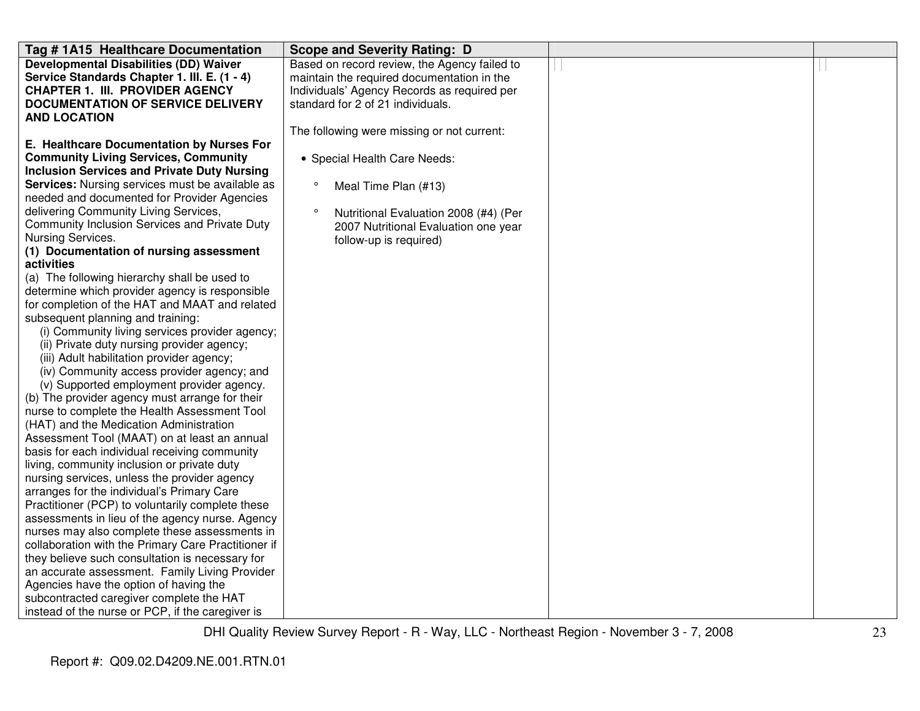| Tag #1A15 Healthcare Documentation                     | <b>Scope and Severity Rating: D</b>              |  |
|--------------------------------------------------------|--------------------------------------------------|--|
| <b>Developmental Disabilities (DD) Waiver</b>          | Based on record review, the Agency failed to     |  |
| Service Standards Chapter 1. III. E. (1 - 4)           | maintain the required documentation in the       |  |
| <b>CHAPTER 1. III. PROVIDER AGENCY</b>                 | Individuals' Agency Records as required per      |  |
| <b>DOCUMENTATION OF SERVICE DELIVERY</b>               | standard for 2 of 21 individuals.                |  |
| <b>AND LOCATION</b>                                    |                                                  |  |
|                                                        | The following were missing or not current:       |  |
| E. Healthcare Documentation by Nurses For              |                                                  |  |
| <b>Community Living Services, Community</b>            | • Special Health Care Needs:                     |  |
| <b>Inclusion Services and Private Duty Nursing</b>     |                                                  |  |
| <b>Services:</b> Nursing services must be available as | $\circ$<br>Meal Time Plan (#13)                  |  |
| needed and documented for Provider Agencies            |                                                  |  |
| delivering Community Living Services,                  | $\circ$<br>Nutritional Evaluation 2008 (#4) (Per |  |
| Community Inclusion Services and Private Duty          | 2007 Nutritional Evaluation one year             |  |
| Nursing Services.                                      | follow-up is required)                           |  |
| (1) Documentation of nursing assessment                |                                                  |  |
| activities                                             |                                                  |  |
| (a) The following hierarchy shall be used to           |                                                  |  |
| determine which provider agency is responsible         |                                                  |  |
| for completion of the HAT and MAAT and related         |                                                  |  |
| subsequent planning and training:                      |                                                  |  |
| (i) Community living services provider agency;         |                                                  |  |
| (ii) Private duty nursing provider agency;             |                                                  |  |
| (iii) Adult habilitation provider agency;              |                                                  |  |
| (iv) Community access provider agency; and             |                                                  |  |
| (v) Supported employment provider agency.              |                                                  |  |
| (b) The provider agency must arrange for their         |                                                  |  |
| nurse to complete the Health Assessment Tool           |                                                  |  |
| (HAT) and the Medication Administration                |                                                  |  |
| Assessment Tool (MAAT) on at least an annual           |                                                  |  |
| basis for each individual receiving community          |                                                  |  |
| living, community inclusion or private duty            |                                                  |  |
| nursing services, unless the provider agency           |                                                  |  |
| arranges for the individual's Primary Care             |                                                  |  |
| Practitioner (PCP) to voluntarily complete these       |                                                  |  |
| assessments in lieu of the agency nurse. Agency        |                                                  |  |
| nurses may also complete these assessments in          |                                                  |  |
| collaboration with the Primary Care Practitioner if    |                                                  |  |
| they believe such consultation is necessary for        |                                                  |  |
| an accurate assessment. Family Living Provider         |                                                  |  |
| Agencies have the option of having the                 |                                                  |  |
| subcontracted caregiver complete the HAT               |                                                  |  |
| instead of the nurse or PCP, if the caregiver is       |                                                  |  |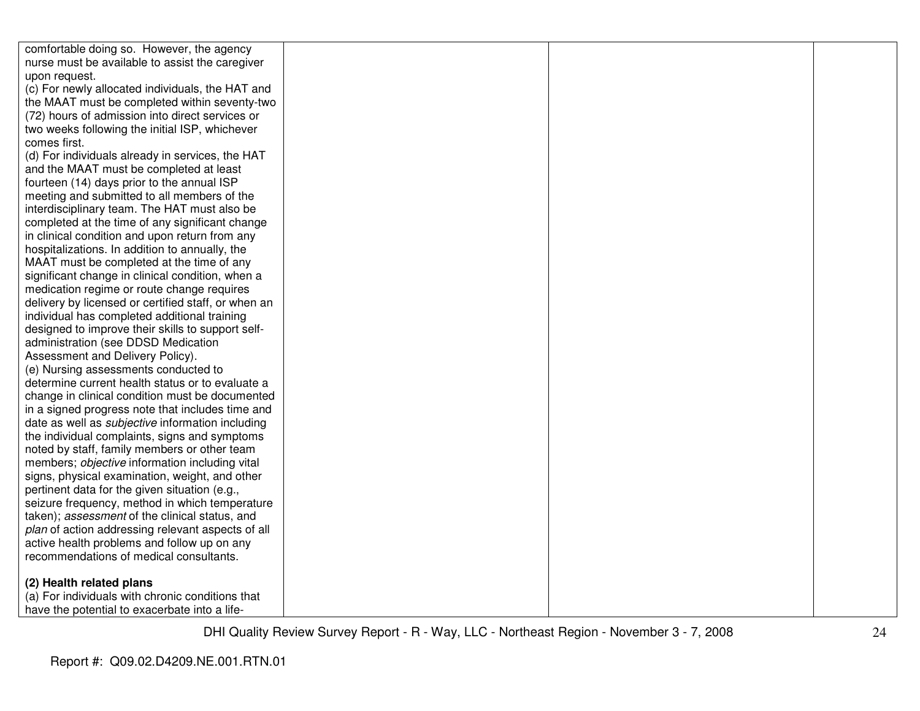| comfortable doing so. However, the agency               |  |  |
|---------------------------------------------------------|--|--|
| nurse must be available to assist the caregiver         |  |  |
| upon request.                                           |  |  |
| (c) For newly allocated individuals, the HAT and        |  |  |
| the MAAT must be completed within seventy-two           |  |  |
| (72) hours of admission into direct services or         |  |  |
| two weeks following the initial ISP, whichever          |  |  |
| comes first.                                            |  |  |
| (d) For individuals already in services, the HAT        |  |  |
| and the MAAT must be completed at least                 |  |  |
| fourteen (14) days prior to the annual ISP              |  |  |
| meeting and submitted to all members of the             |  |  |
| interdisciplinary team. The HAT must also be            |  |  |
| completed at the time of any significant change         |  |  |
| in clinical condition and upon return from any          |  |  |
| hospitalizations. In addition to annually, the          |  |  |
| MAAT must be completed at the time of any               |  |  |
| significant change in clinical condition, when a        |  |  |
| medication regime or route change requires              |  |  |
| delivery by licensed or certified staff, or when an     |  |  |
| individual has completed additional training            |  |  |
| designed to improve their skills to support self-       |  |  |
| administration (see DDSD Medication                     |  |  |
| Assessment and Delivery Policy).                        |  |  |
| (e) Nursing assessments conducted to                    |  |  |
| determine current health status or to evaluate a        |  |  |
| change in clinical condition must be documented         |  |  |
| in a signed progress note that includes time and        |  |  |
| date as well as <i>subjective</i> information including |  |  |
| the individual complaints, signs and symptoms           |  |  |
| noted by staff, family members or other team            |  |  |
| members; objective information including vital          |  |  |
| signs, physical examination, weight, and other          |  |  |
| pertinent data for the given situation (e.g.,           |  |  |
| seizure frequency, method in which temperature          |  |  |
| taken); assessment of the clinical status, and          |  |  |
| plan of action addressing relevant aspects of all       |  |  |
| active health problems and follow up on any             |  |  |
| recommendations of medical consultants.                 |  |  |
| (2) Health related plans                                |  |  |
| (a) For individuals with chronic conditions that        |  |  |
| have the potential to exacerbate into a life-           |  |  |
|                                                         |  |  |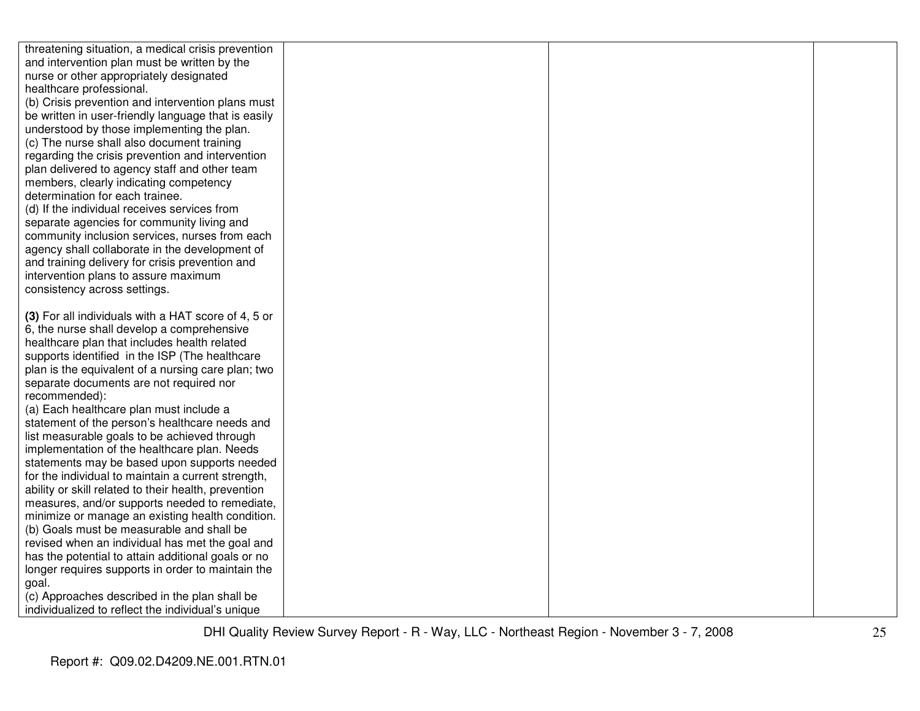| threatening situation, a medical crisis prevention                                        |  |  |
|-------------------------------------------------------------------------------------------|--|--|
| and intervention plan must be written by the                                              |  |  |
| nurse or other appropriately designated                                                   |  |  |
| healthcare professional.                                                                  |  |  |
| (b) Crisis prevention and intervention plans must                                         |  |  |
| be written in user-friendly language that is easily                                       |  |  |
| understood by those implementing the plan.                                                |  |  |
| (c) The nurse shall also document training                                                |  |  |
| regarding the crisis prevention and intervention                                          |  |  |
| plan delivered to agency staff and other team                                             |  |  |
| members, clearly indicating competency                                                    |  |  |
| determination for each trainee.                                                           |  |  |
| (d) If the individual receives services from                                              |  |  |
| separate agencies for community living and                                                |  |  |
| community inclusion services, nurses from each                                            |  |  |
| agency shall collaborate in the development of                                            |  |  |
| and training delivery for crisis prevention and                                           |  |  |
| intervention plans to assure maximum                                                      |  |  |
| consistency across settings.                                                              |  |  |
|                                                                                           |  |  |
| (3) For all individuals with a HAT score of 4, 5 or                                       |  |  |
| 6, the nurse shall develop a comprehensive                                                |  |  |
| healthcare plan that includes health related                                              |  |  |
| supports identified in the ISP (The healthcare                                            |  |  |
| plan is the equivalent of a nursing care plan; two                                        |  |  |
| separate documents are not required nor                                                   |  |  |
| recommended):                                                                             |  |  |
| (a) Each healthcare plan must include a<br>statement of the person's healthcare needs and |  |  |
| list measurable goals to be achieved through                                              |  |  |
| implementation of the healthcare plan. Needs                                              |  |  |
| statements may be based upon supports needed                                              |  |  |
| for the individual to maintain a current strength,                                        |  |  |
| ability or skill related to their health, prevention                                      |  |  |
| measures, and/or supports needed to remediate,                                            |  |  |
| minimize or manage an existing health condition.                                          |  |  |
| (b) Goals must be measurable and shall be                                                 |  |  |
| revised when an individual has met the goal and                                           |  |  |
| has the potential to attain additional goals or no                                        |  |  |
| longer requires supports in order to maintain the                                         |  |  |
| goal.                                                                                     |  |  |
| (c) Approaches described in the plan shall be                                             |  |  |
| individualized to reflect the individual's unique                                         |  |  |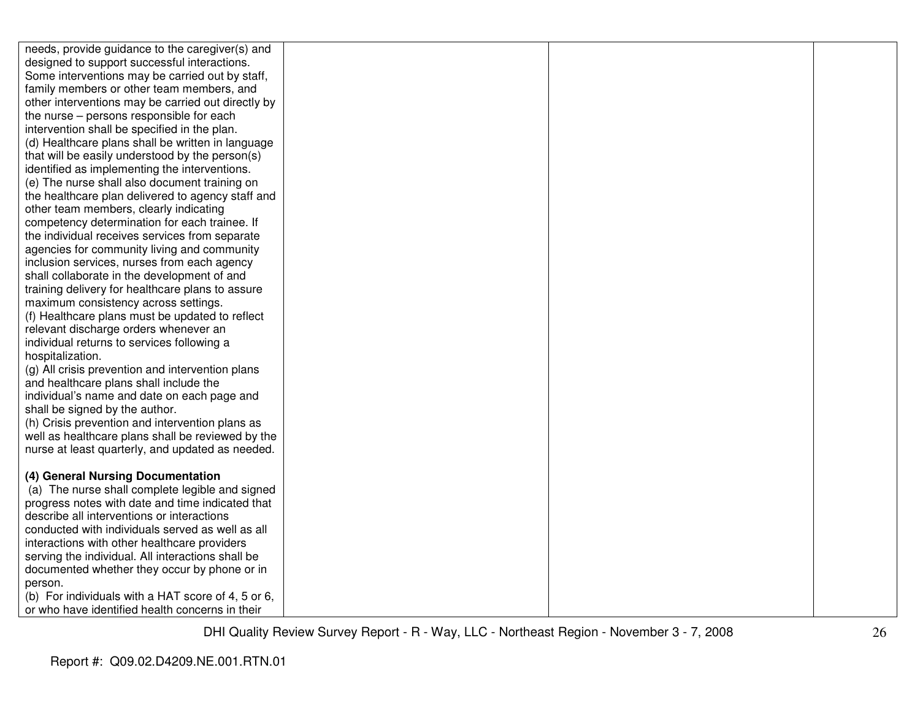| needs, provide guidance to the caregiver(s) and                                                   |  |  |
|---------------------------------------------------------------------------------------------------|--|--|
| designed to support successful interactions.                                                      |  |  |
| Some interventions may be carried out by staff,                                                   |  |  |
| family members or other team members, and                                                         |  |  |
| other interventions may be carried out directly by                                                |  |  |
| the nurse – persons responsible for each                                                          |  |  |
| intervention shall be specified in the plan.                                                      |  |  |
| (d) Healthcare plans shall be written in language                                                 |  |  |
| that will be easily understood by the person(s)                                                   |  |  |
| identified as implementing the interventions.                                                     |  |  |
| (e) The nurse shall also document training on                                                     |  |  |
| the healthcare plan delivered to agency staff and                                                 |  |  |
| other team members, clearly indicating                                                            |  |  |
| competency determination for each trainee. If                                                     |  |  |
| the individual receives services from separate                                                    |  |  |
| agencies for community living and community                                                       |  |  |
| inclusion services, nurses from each agency                                                       |  |  |
| shall collaborate in the development of and                                                       |  |  |
| training delivery for healthcare plans to assure                                                  |  |  |
| maximum consistency across settings.                                                              |  |  |
| (f) Healthcare plans must be updated to reflect                                                   |  |  |
| relevant discharge orders whenever an                                                             |  |  |
| individual returns to services following a                                                        |  |  |
| hospitalization.                                                                                  |  |  |
| (g) All crisis prevention and intervention plans                                                  |  |  |
| and healthcare plans shall include the                                                            |  |  |
| individual's name and date on each page and                                                       |  |  |
| shall be signed by the author.                                                                    |  |  |
| (h) Crisis prevention and intervention plans as                                                   |  |  |
| well as healthcare plans shall be reviewed by the                                                 |  |  |
| nurse at least quarterly, and updated as needed.                                                  |  |  |
|                                                                                                   |  |  |
| (4) General Nursing Documentation                                                                 |  |  |
| (a) The nurse shall complete legible and signed                                                   |  |  |
| progress notes with date and time indicated that<br>describe all interventions or interactions    |  |  |
| conducted with individuals served as well as all                                                  |  |  |
|                                                                                                   |  |  |
| interactions with other healthcare providers                                                      |  |  |
| serving the individual. All interactions shall be<br>documented whether they occur by phone or in |  |  |
| person.                                                                                           |  |  |
| (b) For individuals with a HAT score of 4, 5 or 6,                                                |  |  |
| or who have identified health concerns in their                                                   |  |  |
|                                                                                                   |  |  |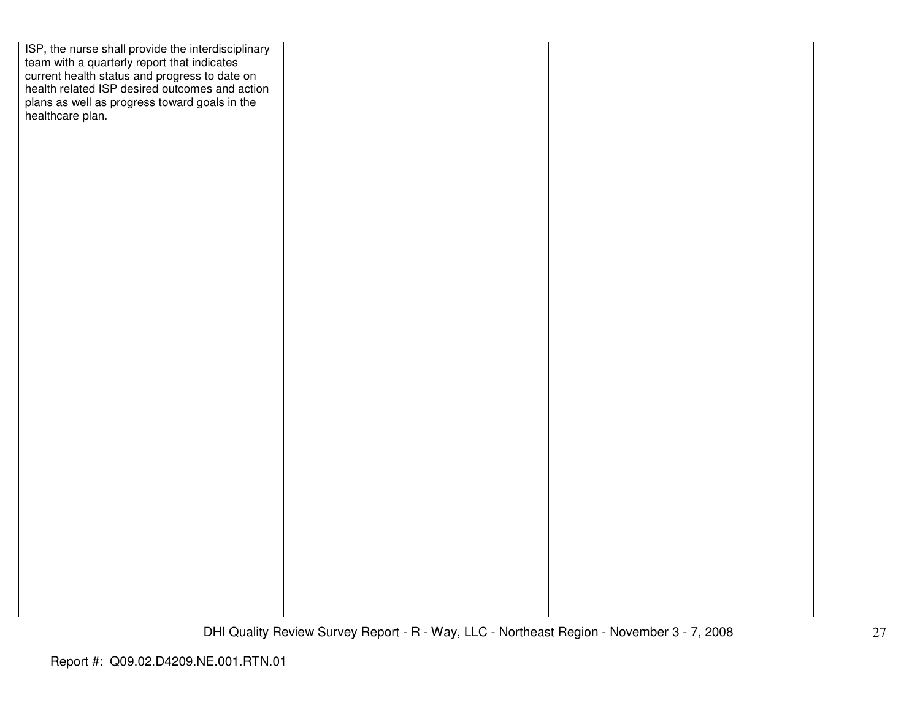| ISP, the nurse shall provide the interdisciplinary                                                                                             |  |  |
|------------------------------------------------------------------------------------------------------------------------------------------------|--|--|
| team with a quarterly report that indicates<br>current health status and progress to date on<br>health related ISP desired outcomes and action |  |  |
|                                                                                                                                                |  |  |
|                                                                                                                                                |  |  |
| plans as well as progress toward goals in the healthcare plan.                                                                                 |  |  |
|                                                                                                                                                |  |  |
|                                                                                                                                                |  |  |
|                                                                                                                                                |  |  |
|                                                                                                                                                |  |  |
|                                                                                                                                                |  |  |
|                                                                                                                                                |  |  |
|                                                                                                                                                |  |  |
|                                                                                                                                                |  |  |
|                                                                                                                                                |  |  |
|                                                                                                                                                |  |  |
|                                                                                                                                                |  |  |
|                                                                                                                                                |  |  |
|                                                                                                                                                |  |  |
|                                                                                                                                                |  |  |
|                                                                                                                                                |  |  |
|                                                                                                                                                |  |  |
|                                                                                                                                                |  |  |
|                                                                                                                                                |  |  |
|                                                                                                                                                |  |  |
|                                                                                                                                                |  |  |
|                                                                                                                                                |  |  |
|                                                                                                                                                |  |  |
|                                                                                                                                                |  |  |
|                                                                                                                                                |  |  |
|                                                                                                                                                |  |  |
|                                                                                                                                                |  |  |
|                                                                                                                                                |  |  |
|                                                                                                                                                |  |  |
|                                                                                                                                                |  |  |
|                                                                                                                                                |  |  |
|                                                                                                                                                |  |  |
|                                                                                                                                                |  |  |
|                                                                                                                                                |  |  |
|                                                                                                                                                |  |  |
|                                                                                                                                                |  |  |
|                                                                                                                                                |  |  |
|                                                                                                                                                |  |  |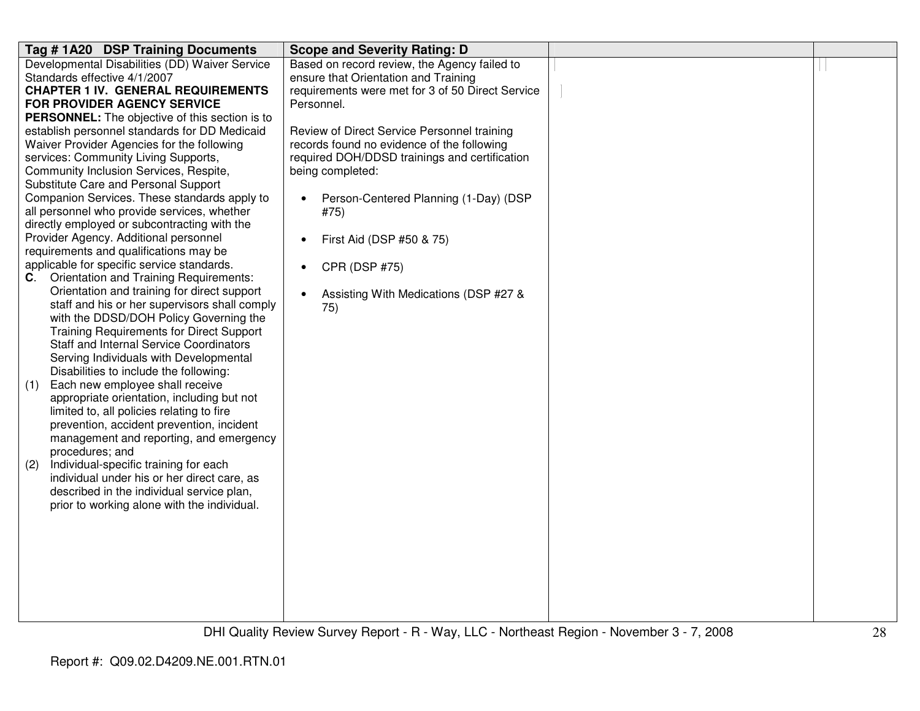| Tag #1A20 DSP Training Documents                                                | <b>Scope and Severity Rating: D</b>                |  |
|---------------------------------------------------------------------------------|----------------------------------------------------|--|
| Developmental Disabilities (DD) Waiver Service                                  | Based on record review, the Agency failed to       |  |
| Standards effective 4/1/2007                                                    | ensure that Orientation and Training               |  |
| <b>CHAPTER 1 IV. GENERAL REQUIREMENTS</b>                                       | requirements were met for 3 of 50 Direct Service   |  |
| <b>FOR PROVIDER AGENCY SERVICE</b>                                              | Personnel.                                         |  |
| PERSONNEL: The objective of this section is to                                  |                                                    |  |
| establish personnel standards for DD Medicaid                                   | Review of Direct Service Personnel training        |  |
| Waiver Provider Agencies for the following                                      | records found no evidence of the following         |  |
| services: Community Living Supports,                                            | required DOH/DDSD trainings and certification      |  |
| Community Inclusion Services, Respite,                                          | being completed:                                   |  |
| Substitute Care and Personal Support                                            |                                                    |  |
| Companion Services. These standards apply to                                    | Person-Centered Planning (1-Day) (DSP              |  |
| all personnel who provide services, whether                                     | #75)                                               |  |
| directly employed or subcontracting with the                                    |                                                    |  |
| Provider Agency. Additional personnel<br>requirements and qualifications may be | First Aid (DSP #50 & 75)<br>$\bullet$              |  |
| applicable for specific service standards.                                      |                                                    |  |
| <b>Orientation and Training Requirements:</b><br>C.                             | CPR (DSP #75)<br>$\bullet$                         |  |
| Orientation and training for direct support                                     |                                                    |  |
| staff and his or her supervisors shall comply                                   | Assisting With Medications (DSP #27 &<br>$\bullet$ |  |
| with the DDSD/DOH Policy Governing the                                          | 75)                                                |  |
| <b>Training Requirements for Direct Support</b>                                 |                                                    |  |
| <b>Staff and Internal Service Coordinators</b>                                  |                                                    |  |
| Serving Individuals with Developmental                                          |                                                    |  |
| Disabilities to include the following:                                          |                                                    |  |
| Each new employee shall receive<br>(1)                                          |                                                    |  |
| appropriate orientation, including but not                                      |                                                    |  |
| limited to, all policies relating to fire                                       |                                                    |  |
| prevention, accident prevention, incident                                       |                                                    |  |
| management and reporting, and emergency                                         |                                                    |  |
| procedures; and                                                                 |                                                    |  |
| Individual-specific training for each<br>(2)                                    |                                                    |  |
| individual under his or her direct care, as                                     |                                                    |  |
| described in the individual service plan,                                       |                                                    |  |
| prior to working alone with the individual.                                     |                                                    |  |
|                                                                                 |                                                    |  |
|                                                                                 |                                                    |  |
|                                                                                 |                                                    |  |
|                                                                                 |                                                    |  |
|                                                                                 |                                                    |  |
|                                                                                 |                                                    |  |
|                                                                                 |                                                    |  |
|                                                                                 |                                                    |  |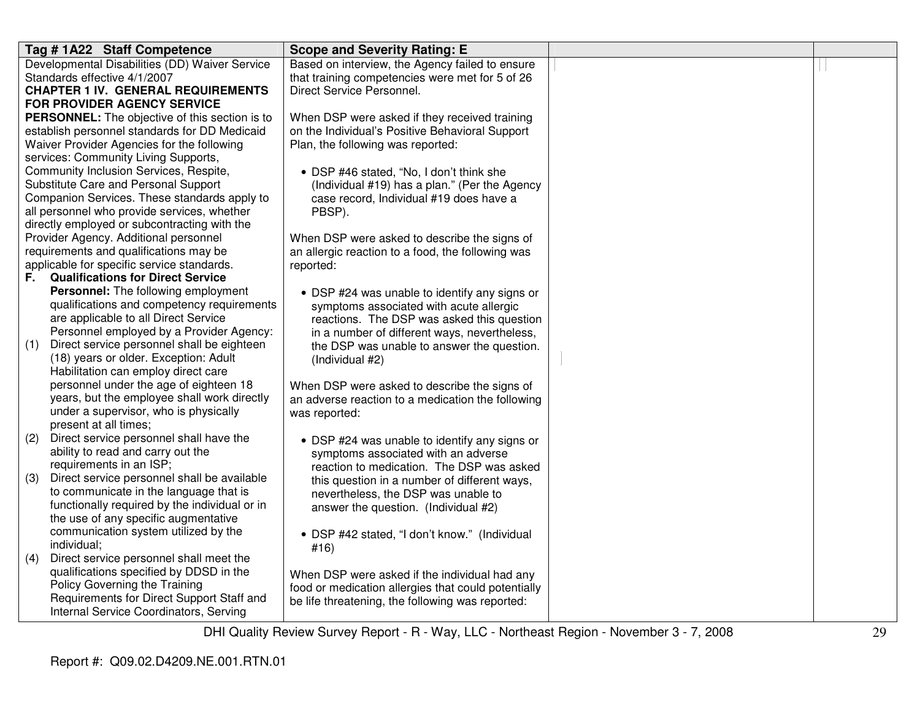| Tag #1A22 Staff Competence                                                            | <b>Scope and Severity Rating: E</b>                                                                                                                                                                                                                                                                                                              |  |
|---------------------------------------------------------------------------------------|--------------------------------------------------------------------------------------------------------------------------------------------------------------------------------------------------------------------------------------------------------------------------------------------------------------------------------------------------|--|
| Developmental Disabilities (DD) Waiver Service                                        | Based on interview, the Agency failed to ensure                                                                                                                                                                                                                                                                                                  |  |
| Standards effective 4/1/2007                                                          | that training competencies were met for 5 of 26                                                                                                                                                                                                                                                                                                  |  |
| <b>CHAPTER 1 IV. GENERAL REQUIREMENTS</b>                                             | Direct Service Personnel.                                                                                                                                                                                                                                                                                                                        |  |
| FOR PROVIDER AGENCY SERVICE                                                           |                                                                                                                                                                                                                                                                                                                                                  |  |
| <b>PERSONNEL:</b> The objective of this section is to                                 | When DSP were asked if they received training                                                                                                                                                                                                                                                                                                    |  |
| establish personnel standards for DD Medicaid                                         | on the Individual's Positive Behavioral Support                                                                                                                                                                                                                                                                                                  |  |
| Waiver Provider Agencies for the following                                            | Plan, the following was reported:                                                                                                                                                                                                                                                                                                                |  |
| services: Community Living Supports,                                                  |                                                                                                                                                                                                                                                                                                                                                  |  |
| Community Inclusion Services, Respite,                                                | • DSP #46 stated, "No, I don't think she                                                                                                                                                                                                                                                                                                         |  |
| Substitute Care and Personal Support                                                  | (Individual #19) has a plan." (Per the Agency                                                                                                                                                                                                                                                                                                    |  |
| Companion Services. These standards apply to                                          | case record, Individual #19 does have a                                                                                                                                                                                                                                                                                                          |  |
| all personnel who provide services, whether                                           | PBSP).                                                                                                                                                                                                                                                                                                                                           |  |
| directly employed or subcontracting with the                                          |                                                                                                                                                                                                                                                                                                                                                  |  |
| Provider Agency. Additional personnel                                                 | When DSP were asked to describe the signs of                                                                                                                                                                                                                                                                                                     |  |
| requirements and qualifications may be                                                | an allergic reaction to a food, the following was                                                                                                                                                                                                                                                                                                |  |
| applicable for specific service standards.                                            | reported:                                                                                                                                                                                                                                                                                                                                        |  |
| <b>Qualifications for Direct Service</b><br>F.                                        |                                                                                                                                                                                                                                                                                                                                                  |  |
| Personnel: The following employment                                                   | • DSP #24 was unable to identify any signs or                                                                                                                                                                                                                                                                                                    |  |
| qualifications and competency requirements                                            | symptoms associated with acute allergic                                                                                                                                                                                                                                                                                                          |  |
| are applicable to all Direct Service                                                  | reactions. The DSP was asked this question                                                                                                                                                                                                                                                                                                       |  |
| Personnel employed by a Provider Agency:                                              | in a number of different ways, nevertheless,                                                                                                                                                                                                                                                                                                     |  |
| Direct service personnel shall be eighteen<br>(1)                                     | the DSP was unable to answer the question.                                                                                                                                                                                                                                                                                                       |  |
| (18) years or older. Exception: Adult                                                 | (Individual #2)                                                                                                                                                                                                                                                                                                                                  |  |
| Habilitation can employ direct care                                                   |                                                                                                                                                                                                                                                                                                                                                  |  |
| personnel under the age of eighteen 18                                                | When DSP were asked to describe the signs of                                                                                                                                                                                                                                                                                                     |  |
| years, but the employee shall work directly                                           | an adverse reaction to a medication the following                                                                                                                                                                                                                                                                                                |  |
| under a supervisor, who is physically                                                 | was reported:                                                                                                                                                                                                                                                                                                                                    |  |
| present at all times;                                                                 |                                                                                                                                                                                                                                                                                                                                                  |  |
| Direct service personnel shall have the<br>(2)                                        | • DSP #24 was unable to identify any signs or                                                                                                                                                                                                                                                                                                    |  |
| ability to read and carry out the                                                     | symptoms associated with an adverse                                                                                                                                                                                                                                                                                                              |  |
| requirements in an ISP;                                                               | reaction to medication. The DSP was asked                                                                                                                                                                                                                                                                                                        |  |
| (3)                                                                                   |                                                                                                                                                                                                                                                                                                                                                  |  |
| to communicate in the language that is                                                |                                                                                                                                                                                                                                                                                                                                                  |  |
| functionally required by the individual or in                                         |                                                                                                                                                                                                                                                                                                                                                  |  |
| the use of any specific augmentative                                                  |                                                                                                                                                                                                                                                                                                                                                  |  |
| communication system utilized by the                                                  |                                                                                                                                                                                                                                                                                                                                                  |  |
| individual;                                                                           |                                                                                                                                                                                                                                                                                                                                                  |  |
| Direct service personnel shall meet the<br>(4)                                        |                                                                                                                                                                                                                                                                                                                                                  |  |
| qualifications specified by DDSD in the                                               |                                                                                                                                                                                                                                                                                                                                                  |  |
| Policy Governing the Training                                                         |                                                                                                                                                                                                                                                                                                                                                  |  |
| Requirements for Direct Support Staff and                                             |                                                                                                                                                                                                                                                                                                                                                  |  |
|                                                                                       |                                                                                                                                                                                                                                                                                                                                                  |  |
| Direct service personnel shall be available<br>Internal Service Coordinators, Serving | this question in a number of different ways,<br>nevertheless, the DSP was unable to<br>answer the question. (Individual #2)<br>• DSP #42 stated, "I don't know." (Individual<br>#16)<br>When DSP were asked if the individual had any<br>food or medication allergies that could potentially<br>be life threatening, the following was reported: |  |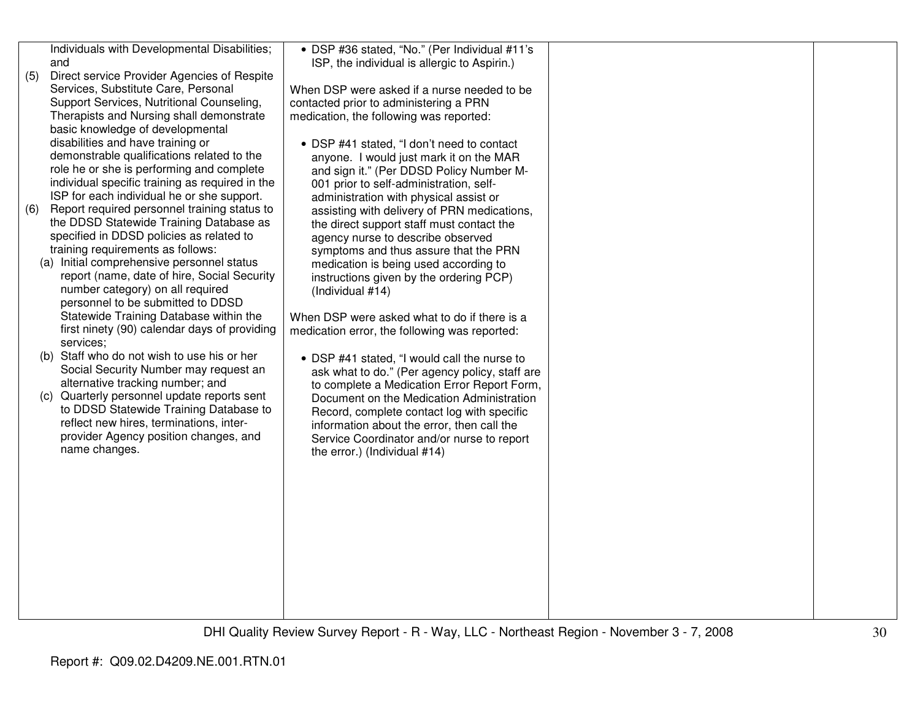| (5) | Individuals with Developmental Disabilities;<br>and<br>Direct service Provider Agencies of Respite<br>Services, Substitute Care, Personal<br>Support Services, Nutritional Counseling,<br>Therapists and Nursing shall demonstrate                                                                                                                                                                                                                                                                                                                                                                                                                                                                                         | • DSP #36 stated, "No." (Per Individual #11's<br>ISP, the individual is allergic to Aspirin.)<br>When DSP were asked if a nurse needed to be<br>contacted prior to administering a PRN<br>medication, the following was reported:                                                                                                                                                                                                                                                                                                                                                                         |  |
|-----|----------------------------------------------------------------------------------------------------------------------------------------------------------------------------------------------------------------------------------------------------------------------------------------------------------------------------------------------------------------------------------------------------------------------------------------------------------------------------------------------------------------------------------------------------------------------------------------------------------------------------------------------------------------------------------------------------------------------------|-----------------------------------------------------------------------------------------------------------------------------------------------------------------------------------------------------------------------------------------------------------------------------------------------------------------------------------------------------------------------------------------------------------------------------------------------------------------------------------------------------------------------------------------------------------------------------------------------------------|--|
| (6) | basic knowledge of developmental<br>disabilities and have training or<br>demonstrable qualifications related to the<br>role he or she is performing and complete<br>individual specific training as required in the<br>ISP for each individual he or she support.<br>Report required personnel training status to<br>the DDSD Statewide Training Database as<br>specified in DDSD policies as related to<br>training requirements as follows:<br>(a) Initial comprehensive personnel status<br>report (name, date of hire, Social Security<br>number category) on all required<br>personnel to be submitted to DDSD<br>Statewide Training Database within the<br>first ninety (90) calendar days of providing<br>services; | • DSP #41 stated, "I don't need to contact<br>anyone. I would just mark it on the MAR<br>and sign it." (Per DDSD Policy Number M-<br>001 prior to self-administration, self-<br>administration with physical assist or<br>assisting with delivery of PRN medications,<br>the direct support staff must contact the<br>agency nurse to describe observed<br>symptoms and thus assure that the PRN<br>medication is being used according to<br>instructions given by the ordering PCP)<br>(Individual #14)<br>When DSP were asked what to do if there is a<br>medication error, the following was reported: |  |
|     | (b) Staff who do not wish to use his or her<br>Social Security Number may request an<br>alternative tracking number; and                                                                                                                                                                                                                                                                                                                                                                                                                                                                                                                                                                                                   | • DSP #41 stated, "I would call the nurse to<br>ask what to do." (Per agency policy, staff are<br>to complete a Medication Error Report Form,                                                                                                                                                                                                                                                                                                                                                                                                                                                             |  |
|     | (c) Quarterly personnel update reports sent<br>to DDSD Statewide Training Database to<br>reflect new hires, terminations, inter-<br>provider Agency position changes, and<br>name changes.                                                                                                                                                                                                                                                                                                                                                                                                                                                                                                                                 | Document on the Medication Administration<br>Record, complete contact log with specific<br>information about the error, then call the<br>Service Coordinator and/or nurse to report<br>the error.) (Individual #14)                                                                                                                                                                                                                                                                                                                                                                                       |  |
|     |                                                                                                                                                                                                                                                                                                                                                                                                                                                                                                                                                                                                                                                                                                                            |                                                                                                                                                                                                                                                                                                                                                                                                                                                                                                                                                                                                           |  |
|     |                                                                                                                                                                                                                                                                                                                                                                                                                                                                                                                                                                                                                                                                                                                            |                                                                                                                                                                                                                                                                                                                                                                                                                                                                                                                                                                                                           |  |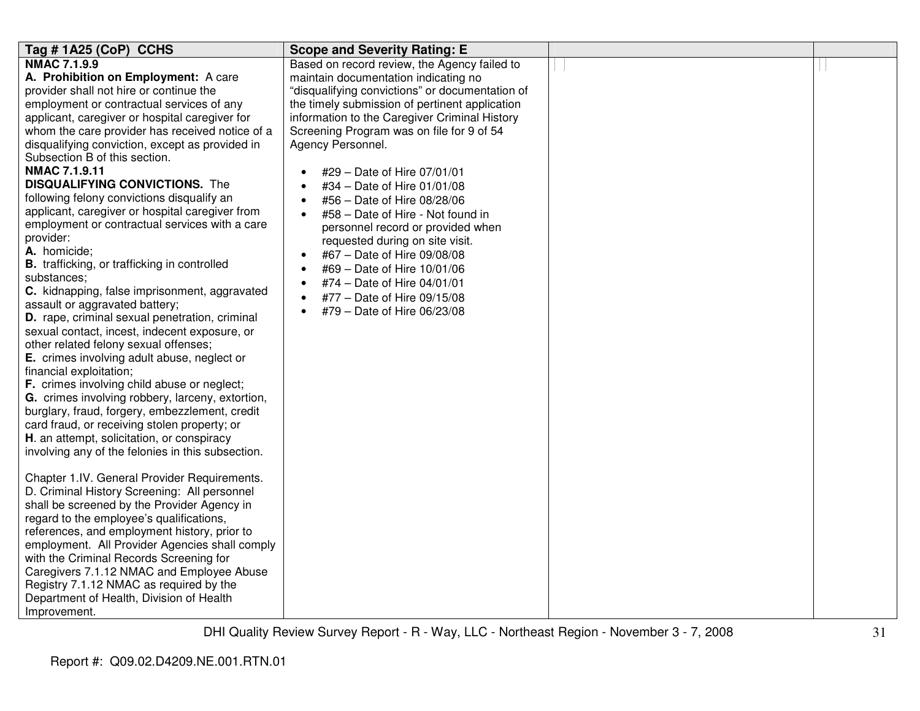| Tag #1A25 (CoP) CCHS                                                                              | <b>Scope and Severity Rating: E</b>             |  |
|---------------------------------------------------------------------------------------------------|-------------------------------------------------|--|
| <b>NMAC 7.1.9.9</b>                                                                               | Based on record review, the Agency failed to    |  |
| A. Prohibition on Employment: A care                                                              | maintain documentation indicating no            |  |
| provider shall not hire or continue the                                                           | "disqualifying convictions" or documentation of |  |
| employment or contractual services of any                                                         | the timely submission of pertinent application  |  |
| applicant, caregiver or hospital caregiver for                                                    | information to the Caregiver Criminal History   |  |
| whom the care provider has received notice of a                                                   | Screening Program was on file for 9 of 54       |  |
| disqualifying conviction, except as provided in                                                   | Agency Personnel.                               |  |
| Subsection B of this section.<br><b>NMAC 7.1.9.11</b>                                             |                                                 |  |
| <b>DISQUALIFYING CONVICTIONS.</b> The                                                             | #29 - Date of Hire 07/01/01                     |  |
|                                                                                                   | #34 - Date of Hire 01/01/08                     |  |
| following felony convictions disqualify an                                                        | #56 - Date of Hire 08/28/06                     |  |
| applicant, caregiver or hospital caregiver from<br>employment or contractual services with a care | #58 - Date of Hire - Not found in<br>$\bullet$  |  |
| provider:                                                                                         | personnel record or provided when               |  |
| A. homicide;                                                                                      | requested during on site visit.                 |  |
| <b>B.</b> trafficking, or trafficking in controlled                                               | #67 - Date of Hire 09/08/08<br>$\bullet$        |  |
| substances:                                                                                       | #69 - Date of Hire 10/01/06                     |  |
| C. kidnapping, false imprisonment, aggravated                                                     | #74 - Date of Hire 04/01/01                     |  |
| assault or aggravated battery;                                                                    | #77 - Date of Hire 09/15/08                     |  |
| D. rape, criminal sexual penetration, criminal                                                    | #79 - Date of Hire 06/23/08                     |  |
| sexual contact, incest, indecent exposure, or                                                     |                                                 |  |
| other related felony sexual offenses;                                                             |                                                 |  |
| E. crimes involving adult abuse, neglect or                                                       |                                                 |  |
| financial exploitation;                                                                           |                                                 |  |
| F. crimes involving child abuse or neglect;                                                       |                                                 |  |
| G. crimes involving robbery, larceny, extortion,                                                  |                                                 |  |
| burglary, fraud, forgery, embezzlement, credit                                                    |                                                 |  |
| card fraud, or receiving stolen property; or                                                      |                                                 |  |
| H. an attempt, solicitation, or conspiracy                                                        |                                                 |  |
| involving any of the felonies in this subsection.                                                 |                                                 |  |
|                                                                                                   |                                                 |  |
| Chapter 1.IV. General Provider Requirements.                                                      |                                                 |  |
| D. Criminal History Screening: All personnel                                                      |                                                 |  |
| shall be screened by the Provider Agency in                                                       |                                                 |  |
| regard to the employee's qualifications,                                                          |                                                 |  |
| references, and employment history, prior to                                                      |                                                 |  |
| employment. All Provider Agencies shall comply                                                    |                                                 |  |
| with the Criminal Records Screening for                                                           |                                                 |  |
| Caregivers 7.1.12 NMAC and Employee Abuse                                                         |                                                 |  |
| Registry 7.1.12 NMAC as required by the                                                           |                                                 |  |
| Department of Health, Division of Health                                                          |                                                 |  |
| Improvement.                                                                                      |                                                 |  |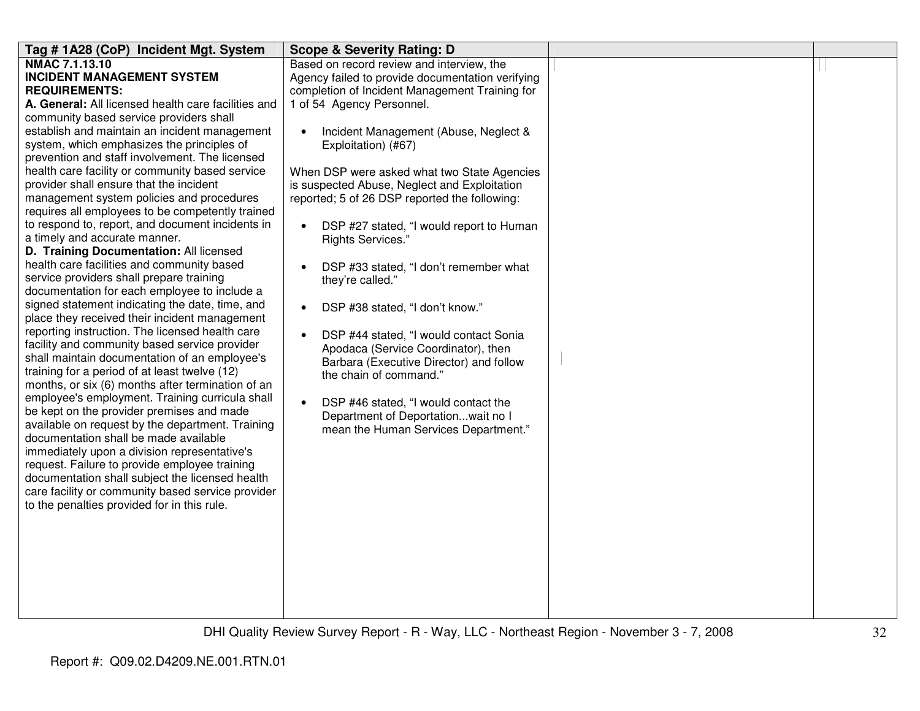| Tag # 1A28 (CoP) Incident Mgt. System               | <b>Scope &amp; Severity Rating: D</b>               |  |
|-----------------------------------------------------|-----------------------------------------------------|--|
| NMAC 7.1.13.10                                      | Based on record review and interview, the           |  |
| <b>INCIDENT MANAGEMENT SYSTEM</b>                   | Agency failed to provide documentation verifying    |  |
| <b>REQUIREMENTS:</b>                                | completion of Incident Management Training for      |  |
| A. General: All licensed health care facilities and | 1 of 54 Agency Personnel.                           |  |
| community based service providers shall             |                                                     |  |
| establish and maintain an incident management       | Incident Management (Abuse, Neglect &               |  |
| system, which emphasizes the principles of          | Exploitation) (#67)                                 |  |
| prevention and staff involvement. The licensed      |                                                     |  |
| health care facility or community based service     | When DSP were asked what two State Agencies         |  |
| provider shall ensure that the incident             | is suspected Abuse, Neglect and Exploitation        |  |
| management system policies and procedures           | reported; 5 of 26 DSP reported the following:       |  |
| requires all employees to be competently trained    |                                                     |  |
| to respond to, report, and document incidents in    | DSP #27 stated, "I would report to Human            |  |
| a timely and accurate manner.                       | Rights Services."                                   |  |
| D. Training Documentation: All licensed             |                                                     |  |
| health care facilities and community based          | DSP #33 stated, "I don't remember what<br>$\bullet$ |  |
| service providers shall prepare training            | they're called."                                    |  |
| documentation for each employee to include a        |                                                     |  |
| signed statement indicating the date, time, and     | DSP #38 stated, "I don't know."<br>$\bullet$        |  |
| place they received their incident management       |                                                     |  |
| reporting instruction. The licensed health care     | DSP #44 stated, "I would contact Sonia<br>$\bullet$ |  |
| facility and community based service provider       | Apodaca (Service Coordinator), then                 |  |
| shall maintain documentation of an employee's       | Barbara (Executive Director) and follow             |  |
| training for a period of at least twelve (12)       | the chain of command."                              |  |
| months, or six (6) months after termination of an   |                                                     |  |
| employee's employment. Training curricula shall     | DSP #46 stated, "I would contact the<br>$\bullet$   |  |
| be kept on the provider premises and made           | Department of Deportationwait no I                  |  |
| available on request by the department. Training    | mean the Human Services Department."                |  |
| documentation shall be made available               |                                                     |  |
| immediately upon a division representative's        |                                                     |  |
| request. Failure to provide employee training       |                                                     |  |
| documentation shall subject the licensed health     |                                                     |  |
| care facility or community based service provider   |                                                     |  |
| to the penalties provided for in this rule.         |                                                     |  |
|                                                     |                                                     |  |
|                                                     |                                                     |  |
|                                                     |                                                     |  |
|                                                     |                                                     |  |
|                                                     |                                                     |  |
|                                                     |                                                     |  |
|                                                     |                                                     |  |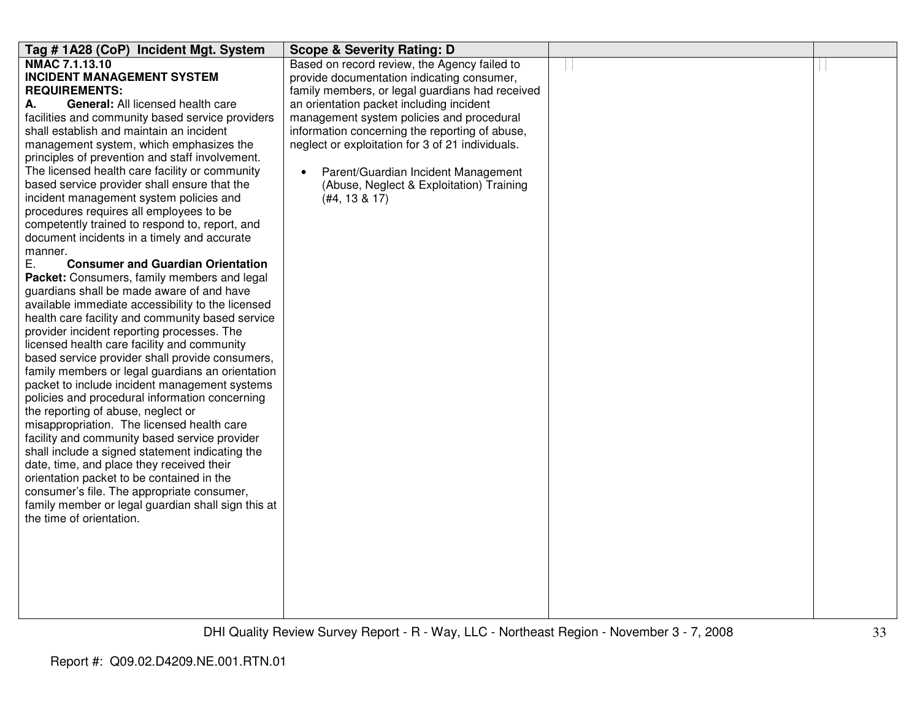| Tag #1A28 (CoP) Incident Mgt. System                                                            | <b>Scope &amp; Severity Rating: D</b>            |  |
|-------------------------------------------------------------------------------------------------|--------------------------------------------------|--|
| <b>NMAC 7.1.13.10</b>                                                                           | Based on record review, the Agency failed to     |  |
| <b>INCIDENT MANAGEMENT SYSTEM</b>                                                               | provide documentation indicating consumer,       |  |
| <b>REQUIREMENTS:</b>                                                                            | family members, or legal guardians had received  |  |
| General: All licensed health care<br>А.                                                         | an orientation packet including incident         |  |
| facilities and community based service providers                                                | management system policies and procedural        |  |
| shall establish and maintain an incident                                                        | information concerning the reporting of abuse,   |  |
| management system, which emphasizes the<br>principles of prevention and staff involvement.      | neglect or exploitation for 3 of 21 individuals. |  |
| The licensed health care facility or community                                                  | Parent/Guardian Incident Management<br>$\bullet$ |  |
| based service provider shall ensure that the                                                    | (Abuse, Neglect & Exploitation) Training         |  |
| incident management system policies and                                                         | (#4, 13 & 17)                                    |  |
| procedures requires all employees to be                                                         |                                                  |  |
| competently trained to respond to, report, and                                                  |                                                  |  |
| document incidents in a timely and accurate                                                     |                                                  |  |
| manner.                                                                                         |                                                  |  |
| Е.<br><b>Consumer and Guardian Orientation</b>                                                  |                                                  |  |
| Packet: Consumers, family members and legal                                                     |                                                  |  |
| guardians shall be made aware of and have                                                       |                                                  |  |
| available immediate accessibility to the licensed                                               |                                                  |  |
| health care facility and community based service                                                |                                                  |  |
| provider incident reporting processes. The                                                      |                                                  |  |
| licensed health care facility and community                                                     |                                                  |  |
| based service provider shall provide consumers,                                                 |                                                  |  |
| family members or legal guardians an orientation                                                |                                                  |  |
| packet to include incident management systems<br>policies and procedural information concerning |                                                  |  |
| the reporting of abuse, neglect or                                                              |                                                  |  |
| misappropriation. The licensed health care                                                      |                                                  |  |
| facility and community based service provider                                                   |                                                  |  |
| shall include a signed statement indicating the                                                 |                                                  |  |
| date, time, and place they received their                                                       |                                                  |  |
| orientation packet to be contained in the                                                       |                                                  |  |
| consumer's file. The appropriate consumer,                                                      |                                                  |  |
| family member or legal guardian shall sign this at                                              |                                                  |  |
| the time of orientation.                                                                        |                                                  |  |
|                                                                                                 |                                                  |  |
|                                                                                                 |                                                  |  |
|                                                                                                 |                                                  |  |
|                                                                                                 |                                                  |  |
|                                                                                                 |                                                  |  |
|                                                                                                 |                                                  |  |
|                                                                                                 |                                                  |  |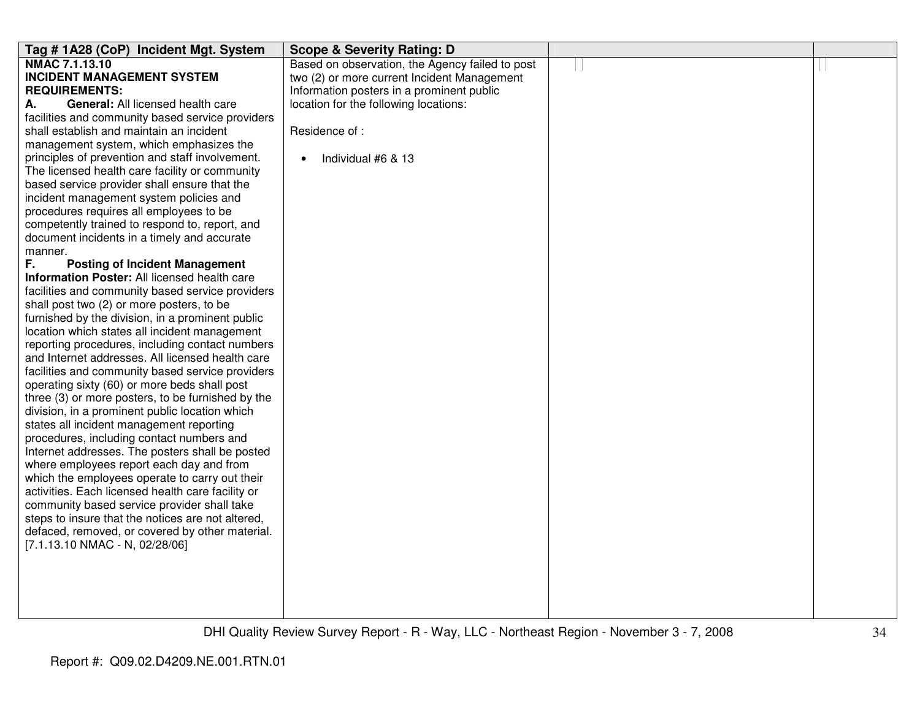| Tag #1A28 (CoP) Incident Mgt. System              | <b>Scope &amp; Severity Rating: D</b>           |  |
|---------------------------------------------------|-------------------------------------------------|--|
| <b>NMAC 7.1.13.10</b>                             | Based on observation, the Agency failed to post |  |
| <b>INCIDENT MANAGEMENT SYSTEM</b>                 | two (2) or more current Incident Management     |  |
| <b>REQUIREMENTS:</b>                              | Information posters in a prominent public       |  |
| <b>General: All licensed health care</b><br>А.    | location for the following locations:           |  |
| facilities and community based service providers  |                                                 |  |
| shall establish and maintain an incident          | Residence of:                                   |  |
| management system, which emphasizes the           |                                                 |  |
| principles of prevention and staff involvement.   | Individual #6 & 13<br>$\bullet$                 |  |
| The licensed health care facility or community    |                                                 |  |
| based service provider shall ensure that the      |                                                 |  |
| incident management system policies and           |                                                 |  |
| procedures requires all employees to be           |                                                 |  |
| competently trained to respond to, report, and    |                                                 |  |
| document incidents in a timely and accurate       |                                                 |  |
| manner.                                           |                                                 |  |
| F.<br><b>Posting of Incident Management</b>       |                                                 |  |
| Information Poster: All licensed health care      |                                                 |  |
| facilities and community based service providers  |                                                 |  |
| shall post two (2) or more posters, to be         |                                                 |  |
| furnished by the division, in a prominent public  |                                                 |  |
| location which states all incident management     |                                                 |  |
| reporting procedures, including contact numbers   |                                                 |  |
| and Internet addresses. All licensed health care  |                                                 |  |
| facilities and community based service providers  |                                                 |  |
| operating sixty (60) or more beds shall post      |                                                 |  |
| three (3) or more posters, to be furnished by the |                                                 |  |
| division, in a prominent public location which    |                                                 |  |
| states all incident management reporting          |                                                 |  |
| procedures, including contact numbers and         |                                                 |  |
| Internet addresses. The posters shall be posted   |                                                 |  |
| where employees report each day and from          |                                                 |  |
| which the employees operate to carry out their    |                                                 |  |
| activities. Each licensed health care facility or |                                                 |  |
| community based service provider shall take       |                                                 |  |
| steps to insure that the notices are not altered, |                                                 |  |
| defaced, removed, or covered by other material.   |                                                 |  |
| [7.1.13.10 NMAC - N, 02/28/06]                    |                                                 |  |
|                                                   |                                                 |  |
|                                                   |                                                 |  |
|                                                   |                                                 |  |
|                                                   |                                                 |  |
|                                                   |                                                 |  |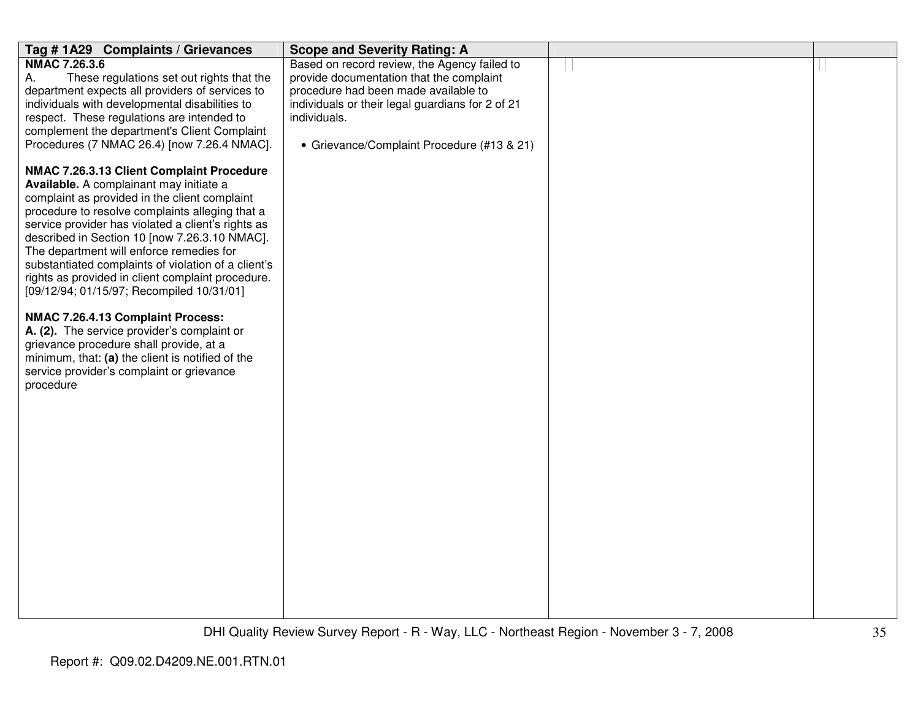| Tag #1A29 Complaints / Grievances                                                             | <b>Scope and Severity Rating: A</b>                              |  |
|-----------------------------------------------------------------------------------------------|------------------------------------------------------------------|--|
| <b>NMAC 7.26.3.6</b>                                                                          | Based on record review, the Agency failed to                     |  |
| These regulations set out rights that the<br>А.                                               | provide documentation that the complaint                         |  |
| department expects all providers of services to                                               | procedure had been made available to                             |  |
| individuals with developmental disabilities to<br>respect. These regulations are intended to  | individuals or their legal guardians for 2 of 21<br>individuals. |  |
| complement the department's Client Complaint                                                  |                                                                  |  |
| Procedures (7 NMAC 26.4) [now 7.26.4 NMAC].                                                   | • Grievance/Complaint Procedure (#13 & 21)                       |  |
|                                                                                               |                                                                  |  |
| NMAC 7.26.3.13 Client Complaint Procedure                                                     |                                                                  |  |
| Available. A complainant may initiate a                                                       |                                                                  |  |
| complaint as provided in the client complaint                                                 |                                                                  |  |
| procedure to resolve complaints alleging that a                                               |                                                                  |  |
| service provider has violated a client's rights as                                            |                                                                  |  |
| described in Section 10 [now 7.26.3.10 NMAC].<br>The department will enforce remedies for     |                                                                  |  |
| substantiated complaints of violation of a client's                                           |                                                                  |  |
| rights as provided in client complaint procedure.                                             |                                                                  |  |
| [09/12/94; 01/15/97; Recompiled 10/31/01]                                                     |                                                                  |  |
|                                                                                               |                                                                  |  |
| NMAC 7.26.4.13 Complaint Process:                                                             |                                                                  |  |
| A. (2). The service provider's complaint or                                                   |                                                                  |  |
| grievance procedure shall provide, at a                                                       |                                                                  |  |
| minimum, that: (a) the client is notified of the<br>service provider's complaint or grievance |                                                                  |  |
| procedure                                                                                     |                                                                  |  |
|                                                                                               |                                                                  |  |
|                                                                                               |                                                                  |  |
|                                                                                               |                                                                  |  |
|                                                                                               |                                                                  |  |
|                                                                                               |                                                                  |  |
|                                                                                               |                                                                  |  |
|                                                                                               |                                                                  |  |
|                                                                                               |                                                                  |  |
|                                                                                               |                                                                  |  |
|                                                                                               |                                                                  |  |
|                                                                                               |                                                                  |  |
|                                                                                               |                                                                  |  |
|                                                                                               |                                                                  |  |
|                                                                                               |                                                                  |  |
|                                                                                               |                                                                  |  |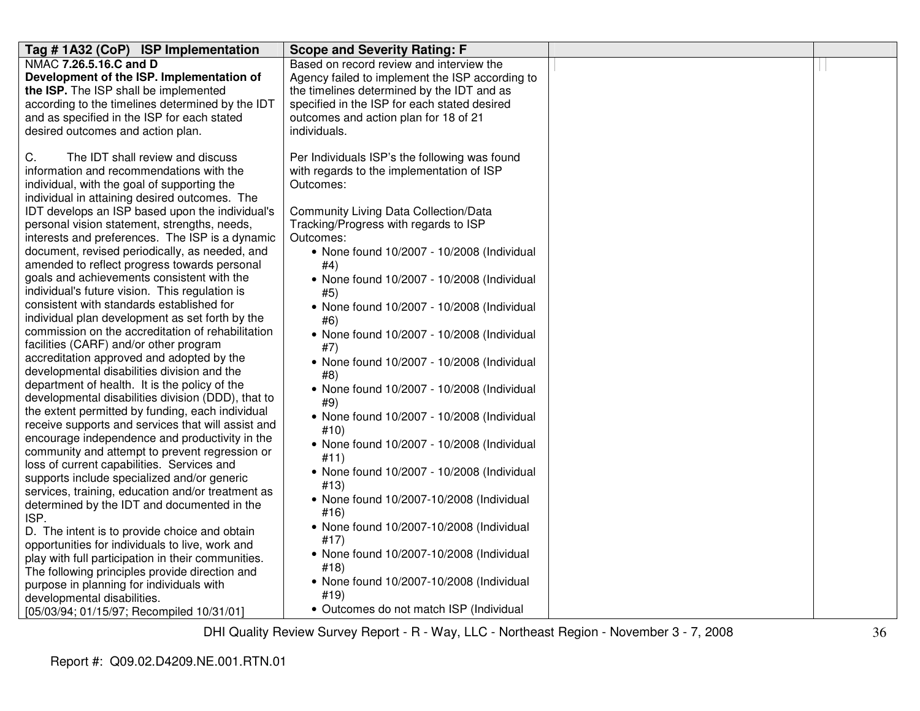| Tag #1A32 (CoP) ISP Implementation                                                                     | <b>Scope and Severity Rating: F</b>             |  |
|--------------------------------------------------------------------------------------------------------|-------------------------------------------------|--|
| NMAC 7.26.5.16.C and D                                                                                 | Based on record review and interview the        |  |
| Development of the ISP. Implementation of                                                              | Agency failed to implement the ISP according to |  |
| the ISP. The ISP shall be implemented                                                                  | the timelines determined by the IDT and as      |  |
| according to the timelines determined by the IDT                                                       | specified in the ISP for each stated desired    |  |
| and as specified in the ISP for each stated                                                            | outcomes and action plan for 18 of 21           |  |
| desired outcomes and action plan.                                                                      | individuals.                                    |  |
|                                                                                                        |                                                 |  |
| C.<br>The IDT shall review and discuss                                                                 | Per Individuals ISP's the following was found   |  |
| information and recommendations with the                                                               | with regards to the implementation of ISP       |  |
| individual, with the goal of supporting the                                                            | Outcomes:                                       |  |
| individual in attaining desired outcomes. The                                                          |                                                 |  |
| IDT develops an ISP based upon the individual's                                                        | <b>Community Living Data Collection/Data</b>    |  |
| personal vision statement, strengths, needs,                                                           | Tracking/Progress with regards to ISP           |  |
| interests and preferences. The ISP is a dynamic                                                        | Outcomes:                                       |  |
| document, revised periodically, as needed, and                                                         | • None found 10/2007 - 10/2008 (Individual      |  |
| amended to reflect progress towards personal                                                           | #4)                                             |  |
| goals and achievements consistent with the                                                             | • None found 10/2007 - 10/2008 (Individual      |  |
| individual's future vision. This regulation is                                                         | #5)                                             |  |
| consistent with standards established for                                                              | • None found 10/2007 - 10/2008 (Individual      |  |
| individual plan development as set forth by the                                                        | #6)                                             |  |
| commission on the accreditation of rehabilitation                                                      | • None found 10/2007 - 10/2008 (Individual      |  |
| facilities (CARF) and/or other program                                                                 | #7)                                             |  |
| accreditation approved and adopted by the                                                              | • None found 10/2007 - 10/2008 (Individual      |  |
| developmental disabilities division and the                                                            | #8)                                             |  |
| department of health. It is the policy of the                                                          | • None found 10/2007 - 10/2008 (Individual      |  |
| developmental disabilities division (DDD), that to                                                     | #9)                                             |  |
| the extent permitted by funding, each individual<br>receive supports and services that will assist and | • None found 10/2007 - 10/2008 (Individual      |  |
| encourage independence and productivity in the                                                         | #10)                                            |  |
| community and attempt to prevent regression or                                                         | • None found 10/2007 - 10/2008 (Individual      |  |
| loss of current capabilities. Services and                                                             | #11)                                            |  |
| supports include specialized and/or generic                                                            | • None found 10/2007 - 10/2008 (Individual      |  |
| services, training, education and/or treatment as                                                      | #13)                                            |  |
| determined by the IDT and documented in the                                                            | • None found 10/2007-10/2008 (Individual        |  |
| ISP.                                                                                                   | #16)                                            |  |
| D. The intent is to provide choice and obtain                                                          | • None found 10/2007-10/2008 (Individual        |  |
| opportunities for individuals to live, work and                                                        | #17)                                            |  |
| play with full participation in their communities.                                                     | • None found 10/2007-10/2008 (Individual        |  |
| The following principles provide direction and                                                         | #18)                                            |  |
| purpose in planning for individuals with                                                               | • None found 10/2007-10/2008 (Individual        |  |
| developmental disabilities.                                                                            | #19)                                            |  |
| [05/03/94; 01/15/97; Recompiled 10/31/01]                                                              | • Outcomes do not match ISP (Individual         |  |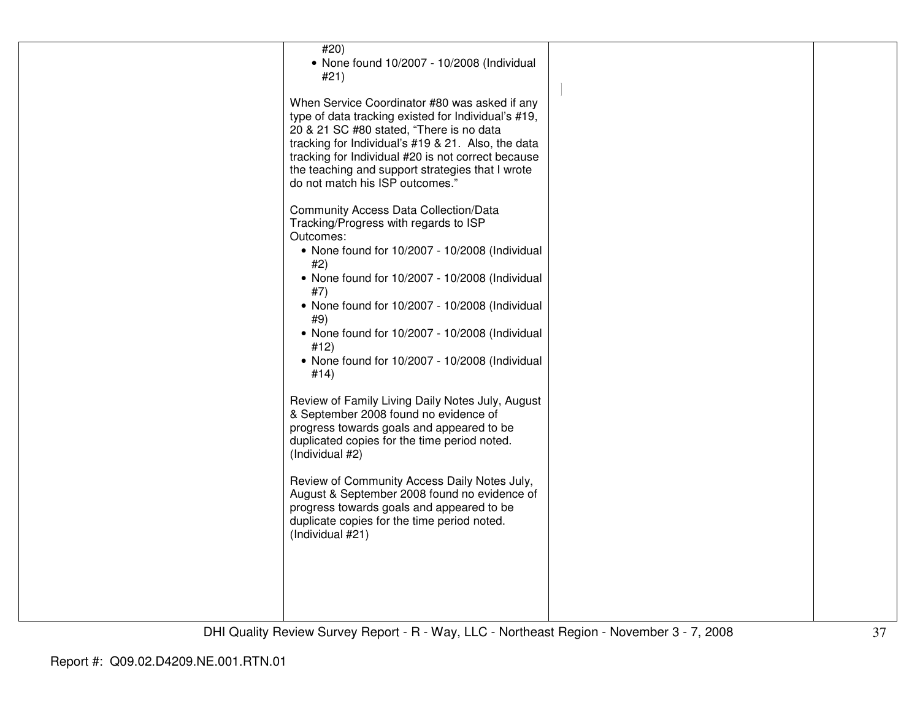| #20)<br>• None found 10/2007 - 10/2008 (Individual<br>#21)                                                                                                                                                   |  |
|--------------------------------------------------------------------------------------------------------------------------------------------------------------------------------------------------------------|--|
| When Service Coordinator #80 was asked if any<br>type of data tracking existed for Individual's #19,<br>20 & 21 SC #80 stated, "There is no data                                                             |  |
| tracking for Individual's #19 & 21. Also, the data<br>tracking for Individual #20 is not correct because<br>the teaching and support strategies that I wrote<br>do not match his ISP outcomes."              |  |
| <b>Community Access Data Collection/Data</b><br>Tracking/Progress with regards to ISP<br>Outcomes:                                                                                                           |  |
| • None found for 10/2007 - 10/2008 (Individual<br>#2)                                                                                                                                                        |  |
| • None found for 10/2007 - 10/2008 (Individual<br>#7)                                                                                                                                                        |  |
| • None found for 10/2007 - 10/2008 (Individual<br>#9)                                                                                                                                                        |  |
| • None found for 10/2007 - 10/2008 (Individual<br>#12)<br>• None found for 10/2007 - 10/2008 (Individual                                                                                                     |  |
| #14)                                                                                                                                                                                                         |  |
| Review of Family Living Daily Notes July, August<br>& September 2008 found no evidence of<br>progress towards goals and appeared to be                                                                       |  |
| duplicated copies for the time period noted.<br>(Individual #2)                                                                                                                                              |  |
| Review of Community Access Daily Notes July,<br>August & September 2008 found no evidence of<br>progress towards goals and appeared to be<br>duplicate copies for the time period noted.<br>(Individual #21) |  |
|                                                                                                                                                                                                              |  |
|                                                                                                                                                                                                              |  |
|                                                                                                                                                                                                              |  |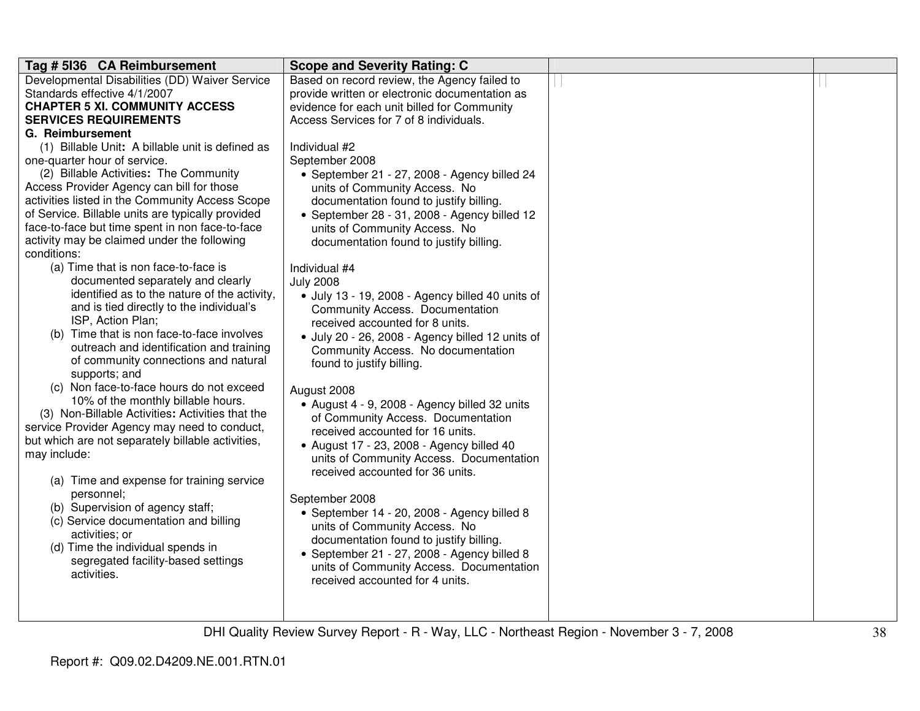| Tag # 5136 CA Reimbursement                       | <b>Scope and Severity Rating: C</b>              |  |
|---------------------------------------------------|--------------------------------------------------|--|
| Developmental Disabilities (DD) Waiver Service    | Based on record review, the Agency failed to     |  |
| Standards effective 4/1/2007                      | provide written or electronic documentation as   |  |
| <b>CHAPTER 5 XI. COMMUNITY ACCESS</b>             | evidence for each unit billed for Community      |  |
| <b>SERVICES REQUIREMENTS</b>                      | Access Services for 7 of 8 individuals.          |  |
| G. Reimbursement                                  |                                                  |  |
| (1) Billable Unit: A billable unit is defined as  | Individual #2                                    |  |
| one-quarter hour of service.                      | September 2008                                   |  |
| (2) Billable Activities: The Community            | • September 21 - 27, 2008 - Agency billed 24     |  |
| Access Provider Agency can bill for those         | units of Community Access. No                    |  |
| activities listed in the Community Access Scope   | documentation found to justify billing.          |  |
| of Service. Billable units are typically provided | • September 28 - 31, 2008 - Agency billed 12     |  |
| face-to-face but time spent in non face-to-face   | units of Community Access. No                    |  |
| activity may be claimed under the following       | documentation found to justify billing.          |  |
| conditions:                                       |                                                  |  |
| (a) Time that is non face-to-face is              | Individual #4                                    |  |
| documented separately and clearly                 | <b>July 2008</b>                                 |  |
| identified as to the nature of the activity,      | · July 13 - 19, 2008 - Agency billed 40 units of |  |
| and is tied directly to the individual's          | Community Access. Documentation                  |  |
| ISP, Action Plan;                                 | received accounted for 8 units.                  |  |
| (b) Time that is non face-to-face involves        | · July 20 - 26, 2008 - Agency billed 12 units of |  |
| outreach and identification and training          | Community Access. No documentation               |  |
| of community connections and natural              | found to justify billing.                        |  |
| supports; and                                     |                                                  |  |
| (c) Non face-to-face hours do not exceed          | August 2008                                      |  |
| 10% of the monthly billable hours.                | • August 4 - 9, 2008 - Agency billed 32 units    |  |
| (3) Non-Billable Activities: Activities that the  | of Community Access. Documentation               |  |
| service Provider Agency may need to conduct,      | received accounted for 16 units.                 |  |
| but which are not separately billable activities, | • August 17 - 23, 2008 - Agency billed 40        |  |
| may include:                                      | units of Community Access. Documentation         |  |
|                                                   | received accounted for 36 units.                 |  |
| (a) Time and expense for training service         |                                                  |  |
| personnel;                                        | September 2008                                   |  |
| (b) Supervision of agency staff;                  | · September 14 - 20, 2008 - Agency billed 8      |  |
| (c) Service documentation and billing             | units of Community Access. No                    |  |
| activities; or                                    | documentation found to justify billing.          |  |
| (d) Time the individual spends in                 | · September 21 - 27, 2008 - Agency billed 8      |  |
| segregated facility-based settings                | units of Community Access. Documentation         |  |
| activities.                                       | received accounted for 4 units.                  |  |
|                                                   |                                                  |  |
|                                                   |                                                  |  |
|                                                   |                                                  |  |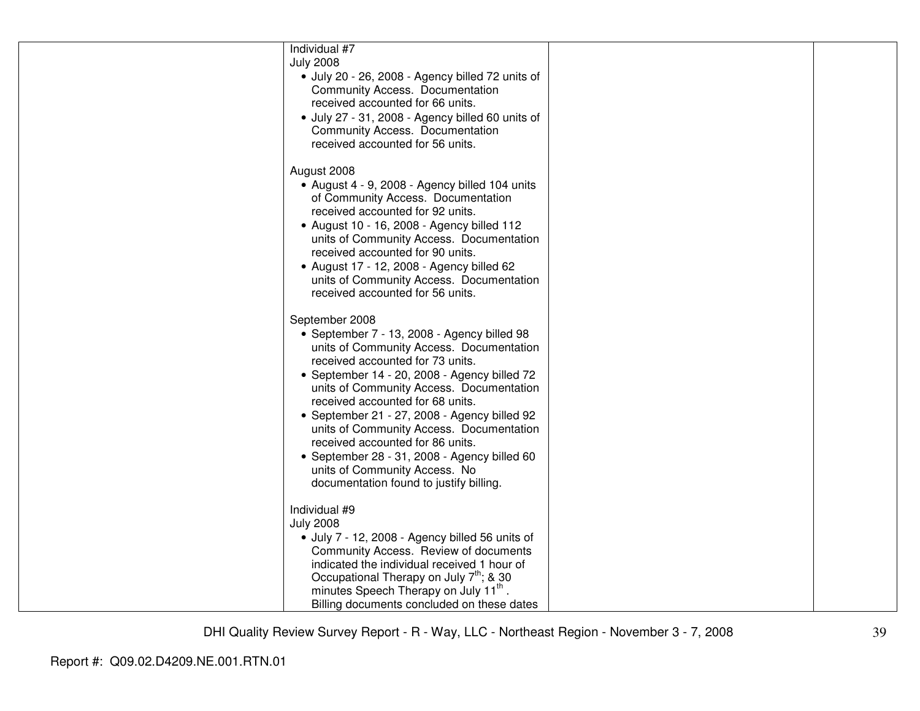| Individual #7<br><b>July 2008</b><br>· July 20 - 26, 2008 - Agency billed 72 units of<br>Community Access. Documentation<br>received accounted for 66 units.<br>· July 27 - 31, 2008 - Agency billed 60 units of<br><b>Community Access. Documentation</b><br>received accounted for 56 units.                                                                                                                                                                                                                                            |  |
|-------------------------------------------------------------------------------------------------------------------------------------------------------------------------------------------------------------------------------------------------------------------------------------------------------------------------------------------------------------------------------------------------------------------------------------------------------------------------------------------------------------------------------------------|--|
| August 2008<br>• August 4 - 9, 2008 - Agency billed 104 units<br>of Community Access. Documentation<br>received accounted for 92 units.<br>• August 10 - 16, 2008 - Agency billed 112<br>units of Community Access. Documentation<br>received accounted for 90 units.<br>• August 17 - 12, 2008 - Agency billed 62<br>units of Community Access. Documentation<br>received accounted for 56 units.                                                                                                                                        |  |
| September 2008<br>• September 7 - 13, 2008 - Agency billed 98<br>units of Community Access. Documentation<br>received accounted for 73 units.<br>• September 14 - 20, 2008 - Agency billed 72<br>units of Community Access. Documentation<br>received accounted for 68 units.<br>• September 21 - 27, 2008 - Agency billed 92<br>units of Community Access. Documentation<br>received accounted for 86 units.<br>• September 28 - 31, 2008 - Agency billed 60<br>units of Community Access. No<br>documentation found to justify billing. |  |
| Individual #9<br><b>July 2008</b><br>· July 7 - 12, 2008 - Agency billed 56 units of<br>Community Access. Review of documents<br>indicated the individual received 1 hour of<br>Occupational Therapy on July 7 <sup>th</sup> ; & 30<br>minutes Speech Therapy on July 11 <sup>th</sup> .<br>Billing documents concluded on these dates                                                                                                                                                                                                    |  |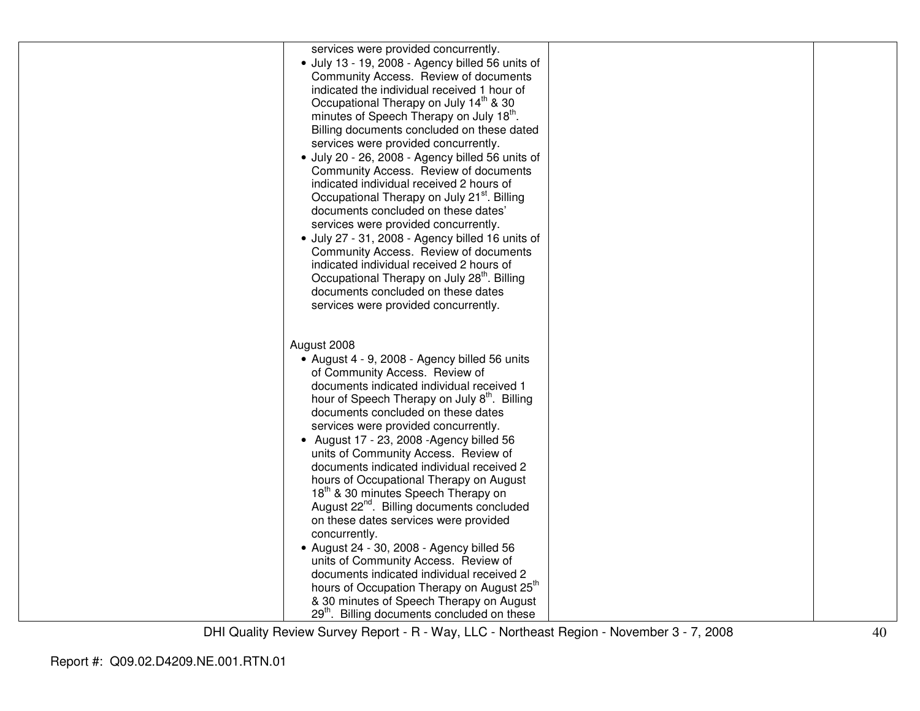| services were provided concurrently.<br>· July 13 - 19, 2008 - Agency billed 56 units of<br>Community Access. Review of documents<br>indicated the individual received 1 hour of<br>Occupational Therapy on July 14 <sup>th</sup> & 30<br>minutes of Speech Therapy on July 18th.<br>Billing documents concluded on these dated<br>services were provided concurrently.<br>· July 20 - 26, 2008 - Agency billed 56 units of                                                                                           |  |
|-----------------------------------------------------------------------------------------------------------------------------------------------------------------------------------------------------------------------------------------------------------------------------------------------------------------------------------------------------------------------------------------------------------------------------------------------------------------------------------------------------------------------|--|
| Community Access. Review of documents<br>indicated individual received 2 hours of<br>Occupational Therapy on July 21 <sup>st</sup> . Billing<br>documents concluded on these dates'<br>services were provided concurrently.<br>· July 27 - 31, 2008 - Agency billed 16 units of<br>Community Access. Review of documents                                                                                                                                                                                              |  |
| indicated individual received 2 hours of<br>Occupational Therapy on July 28 <sup>th</sup> . Billing<br>documents concluded on these dates<br>services were provided concurrently.                                                                                                                                                                                                                                                                                                                                     |  |
| August 2008<br>• August 4 - 9, 2008 - Agency billed 56 units<br>of Community Access. Review of<br>documents indicated individual received 1<br>hour of Speech Therapy on July 8 <sup>th</sup> . Billing<br>documents concluded on these dates<br>services were provided concurrently.<br>• August 17 - 23, 2008 - Agency billed 56<br>units of Community Access. Review of<br>documents indicated individual received 2<br>hours of Occupational Therapy on August<br>18 <sup>th</sup> & 30 minutes Speech Therapy on |  |
| August 22 <sup>nd</sup> . Billing documents concluded<br>on these dates services were provided<br>concurrently.<br>• August 24 - 30, 2008 - Agency billed 56<br>units of Community Access. Review of<br>documents indicated individual received 2<br>hours of Occupation Therapy on August 25 <sup>th</sup><br>& 30 minutes of Speech Therapy on August<br>29 <sup>th</sup> . Billing documents concluded on these                                                                                                    |  |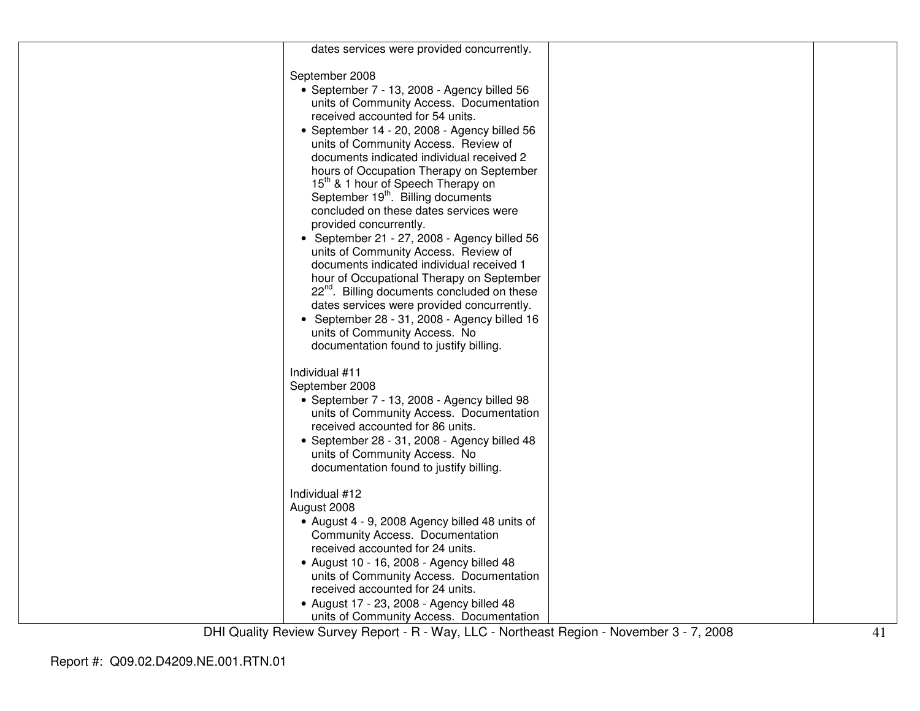| dates services were provided concurrently.                                                           |  |
|------------------------------------------------------------------------------------------------------|--|
| September 2008                                                                                       |  |
| • September 7 - 13, 2008 - Agency billed 56                                                          |  |
| units of Community Access. Documentation                                                             |  |
| received accounted for 54 units.                                                                     |  |
| • September 14 - 20, 2008 - Agency billed 56                                                         |  |
| units of Community Access. Review of                                                                 |  |
| documents indicated individual received 2                                                            |  |
| hours of Occupation Therapy on September                                                             |  |
| 15 <sup>th</sup> & 1 hour of Speech Therapy on                                                       |  |
| September 19 <sup>th</sup> . Billing documents                                                       |  |
| concluded on these dates services were                                                               |  |
| provided concurrently.                                                                               |  |
| • September 21 - 27, 2008 - Agency billed 56                                                         |  |
| units of Community Access. Review of                                                                 |  |
| documents indicated individual received 1                                                            |  |
| hour of Occupational Therapy on September<br>22 <sup>nd</sup> . Billing documents concluded on these |  |
| dates services were provided concurrently.                                                           |  |
| • September 28 - 31, 2008 - Agency billed 16                                                         |  |
| units of Community Access. No                                                                        |  |
| documentation found to justify billing.                                                              |  |
|                                                                                                      |  |
| Individual #11                                                                                       |  |
| September 2008                                                                                       |  |
| • September 7 - 13, 2008 - Agency billed 98                                                          |  |
| units of Community Access. Documentation<br>received accounted for 86 units.                         |  |
| • September 28 - 31, 2008 - Agency billed 48                                                         |  |
| units of Community Access. No                                                                        |  |
| documentation found to justify billing.                                                              |  |
|                                                                                                      |  |
| Individual #12                                                                                       |  |
| August 2008                                                                                          |  |
| • August 4 - 9, 2008 Agency billed 48 units of                                                       |  |
| <b>Community Access. Documentation</b>                                                               |  |
| received accounted for 24 units.                                                                     |  |
| • August 10 - 16, 2008 - Agency billed 48<br>units of Community Access. Documentation                |  |
| received accounted for 24 units.                                                                     |  |
| • August 17 - 23, 2008 - Agency billed 48                                                            |  |
| units of Community Access. Documentation                                                             |  |
|                                                                                                      |  |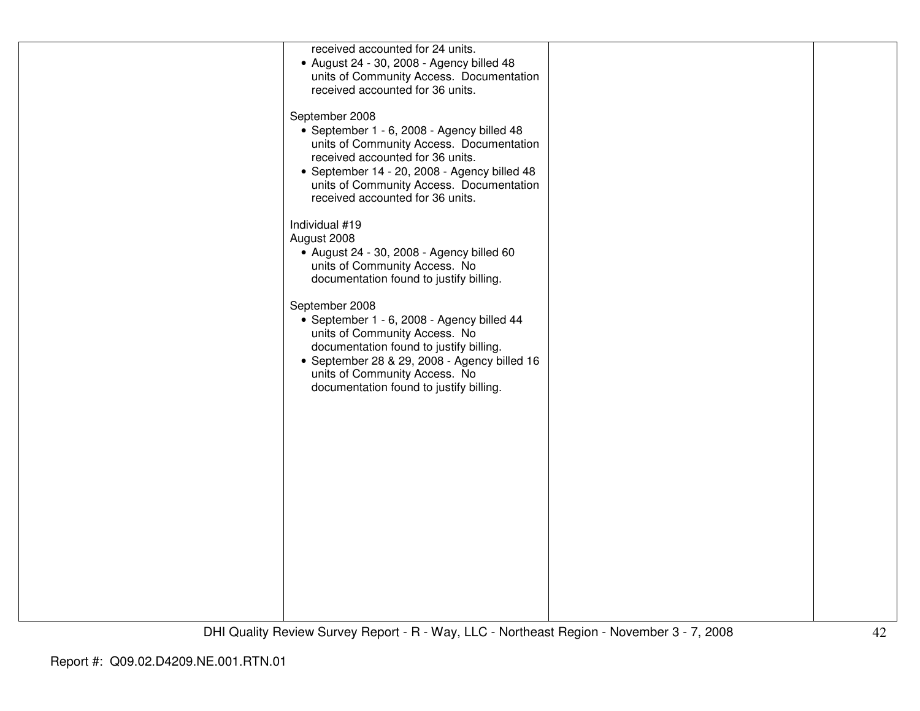| received accounted for 24 units.<br>• August 24 - 30, 2008 - Agency billed 48            |  |
|------------------------------------------------------------------------------------------|--|
| units of Community Access. Documentation                                                 |  |
| received accounted for 36 units.                                                         |  |
| September 2008                                                                           |  |
| • September 1 - 6, 2008 - Agency billed 48                                               |  |
| units of Community Access. Documentation                                                 |  |
| received accounted for 36 units.                                                         |  |
| • September 14 - 20, 2008 - Agency billed 48<br>units of Community Access. Documentation |  |
| received accounted for 36 units.                                                         |  |
|                                                                                          |  |
| Individual #19<br>August 2008                                                            |  |
| • August 24 - 30, 2008 - Agency billed 60                                                |  |
| units of Community Access. No                                                            |  |
| documentation found to justify billing.                                                  |  |
| September 2008                                                                           |  |
| • September 1 - 6, 2008 - Agency billed 44                                               |  |
| units of Community Access. No<br>documentation found to justify billing.                 |  |
| • September 28 & 29, 2008 - Agency billed 16                                             |  |
| units of Community Access. No                                                            |  |
| documentation found to justify billing.                                                  |  |
|                                                                                          |  |
|                                                                                          |  |
|                                                                                          |  |
|                                                                                          |  |
|                                                                                          |  |
|                                                                                          |  |
|                                                                                          |  |
|                                                                                          |  |
|                                                                                          |  |
|                                                                                          |  |
|                                                                                          |  |
|                                                                                          |  |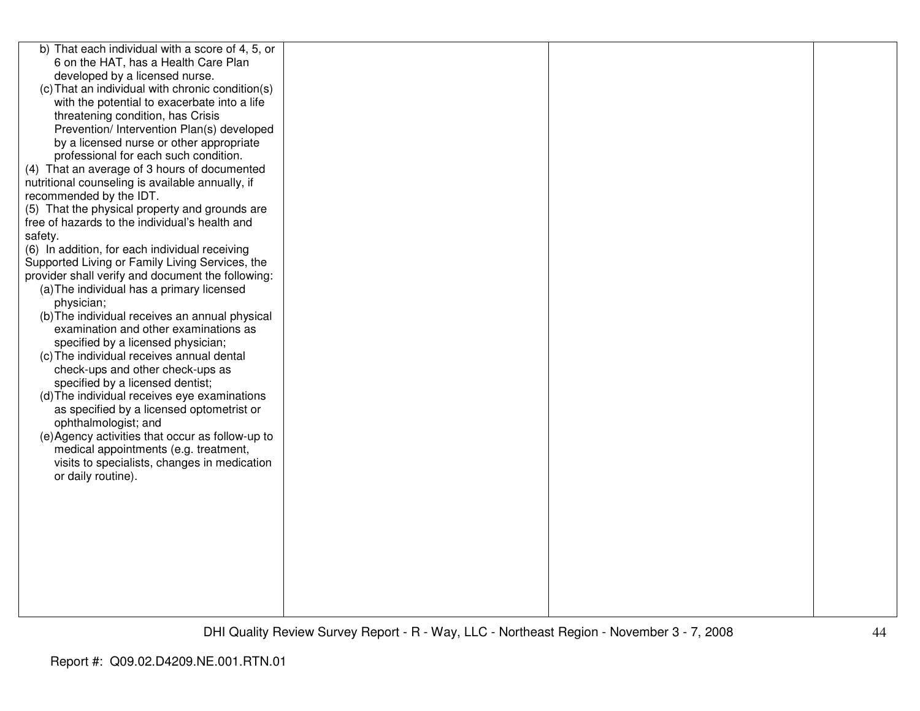| b) That each individual with a score of 4, 5, or  |  |  |
|---------------------------------------------------|--|--|
| 6 on the HAT, has a Health Care Plan              |  |  |
| developed by a licensed nurse.                    |  |  |
| (c) That an individual with chronic condition(s)  |  |  |
| with the potential to exacerbate into a life      |  |  |
| threatening condition, has Crisis                 |  |  |
| Prevention/ Intervention Plan(s) developed        |  |  |
| by a licensed nurse or other appropriate          |  |  |
| professional for each such condition.             |  |  |
| (4) That an average of 3 hours of documented      |  |  |
| nutritional counseling is available annually, if  |  |  |
| recommended by the IDT.                           |  |  |
| (5) That the physical property and grounds are    |  |  |
| free of hazards to the individual's health and    |  |  |
| safety.                                           |  |  |
| (6) In addition, for each individual receiving    |  |  |
| Supported Living or Family Living Services, the   |  |  |
| provider shall verify and document the following: |  |  |
| (a) The individual has a primary licensed         |  |  |
| physician;                                        |  |  |
| (b) The individual receives an annual physical    |  |  |
| examination and other examinations as             |  |  |
| specified by a licensed physician;                |  |  |
| (c) The individual receives annual dental         |  |  |
| check-ups and other check-ups as                  |  |  |
| specified by a licensed dentist;                  |  |  |
| (d) The individual receives eye examinations      |  |  |
| as specified by a licensed optometrist or         |  |  |
| ophthalmologist; and                              |  |  |
| (e) Agency activities that occur as follow-up to  |  |  |
| medical appointments (e.g. treatment,             |  |  |
| visits to specialists, changes in medication      |  |  |
| or daily routine).                                |  |  |
|                                                   |  |  |
|                                                   |  |  |
|                                                   |  |  |
|                                                   |  |  |
|                                                   |  |  |
|                                                   |  |  |
|                                                   |  |  |
|                                                   |  |  |
|                                                   |  |  |
|                                                   |  |  |
|                                                   |  |  |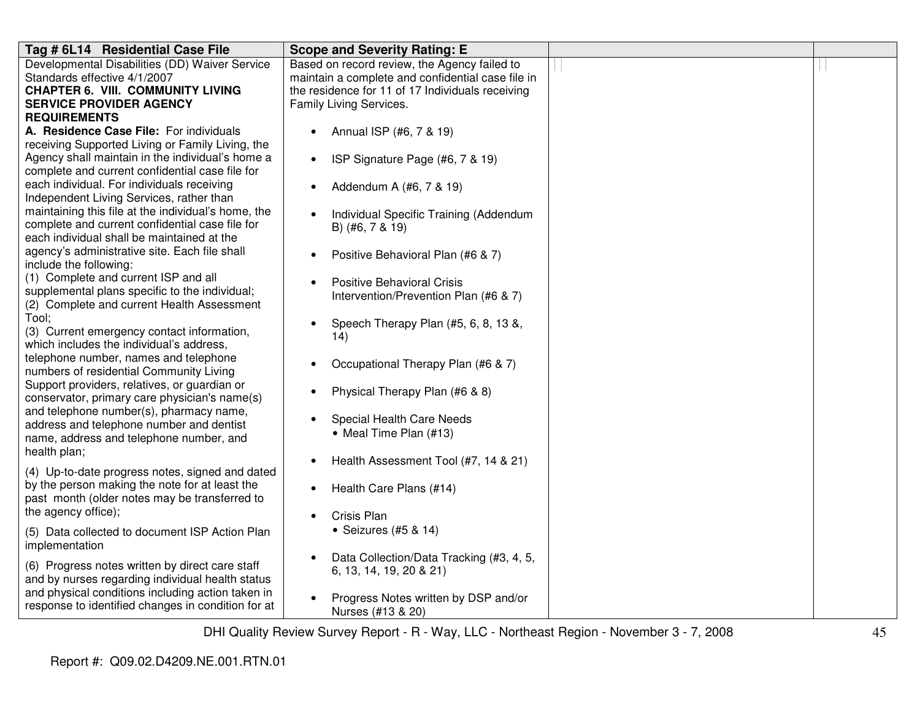| Tag # 6L14 Residential Case File                    | <b>Scope and Severity Rating: E</b>               |  |
|-----------------------------------------------------|---------------------------------------------------|--|
| Developmental Disabilities (DD) Waiver Service      | Based on record review, the Agency failed to      |  |
| Standards effective 4/1/2007                        | maintain a complete and confidential case file in |  |
| <b>CHAPTER 6. VIII. COMMUNITY LIVING</b>            | the residence for 11 of 17 Individuals receiving  |  |
| <b>SERVICE PROVIDER AGENCY</b>                      | Family Living Services.                           |  |
| <b>REQUIREMENTS</b>                                 |                                                   |  |
| A. Residence Case File: For individuals             | Annual ISP (#6, 7 & 19)                           |  |
| receiving Supported Living or Family Living, the    |                                                   |  |
| Agency shall maintain in the individual's home a    | ISP Signature Page (#6, 7 & 19)<br>$\bullet$      |  |
| complete and current confidential case file for     |                                                   |  |
| each individual. For individuals receiving          | Addendum A (#6, 7 & 19)                           |  |
| Independent Living Services, rather than            |                                                   |  |
| maintaining this file at the individual's home, the | Individual Specific Training (Addendum            |  |
| complete and current confidential case file for     | B) (#6, 7 & 19)                                   |  |
| each individual shall be maintained at the          |                                                   |  |
| agency's administrative site. Each file shall       | Positive Behavioral Plan (#6 & 7)                 |  |
| include the following:                              |                                                   |  |
| (1) Complete and current ISP and all                | <b>Positive Behavioral Crisis</b>                 |  |
| supplemental plans specific to the individual;      | Intervention/Prevention Plan (#6 & 7)             |  |
| (2) Complete and current Health Assessment          |                                                   |  |
| Tool;                                               | Speech Therapy Plan (#5, 6, 8, 13 &,              |  |
| (3) Current emergency contact information,          |                                                   |  |
| which includes the individual's address,            | 14)                                               |  |
| telephone number, names and telephone               |                                                   |  |
| numbers of residential Community Living             | Occupational Therapy Plan (#6 & 7)                |  |
| Support providers, relatives, or guardian or        |                                                   |  |
| conservator, primary care physician's name(s)       | Physical Therapy Plan (#6 & 8)                    |  |
| and telephone number(s), pharmacy name,             |                                                   |  |
| address and telephone number and dentist            | Special Health Care Needs                         |  |
| name, address and telephone number, and             | • Meal Time Plan (#13)                            |  |
| health plan;                                        |                                                   |  |
|                                                     | Health Assessment Tool (#7, 14 & 21)              |  |
| (4) Up-to-date progress notes, signed and dated     |                                                   |  |
| by the person making the note for at least the      | Health Care Plans (#14)                           |  |
| past month (older notes may be transferred to       |                                                   |  |
| the agency office);                                 | Crisis Plan                                       |  |
| (5) Data collected to document ISP Action Plan      | • Seizures $(#5 & 14)$                            |  |
| implementation                                      |                                                   |  |
|                                                     | Data Collection/Data Tracking (#3, 4, 5,          |  |
| (6) Progress notes written by direct care staff     | 6, 13, 14, 19, 20 & 21)                           |  |
| and by nurses regarding individual health status    |                                                   |  |
| and physical conditions including action taken in   | Progress Notes written by DSP and/or              |  |
| response to identified changes in condition for at  | Nurses (#13 & 20)                                 |  |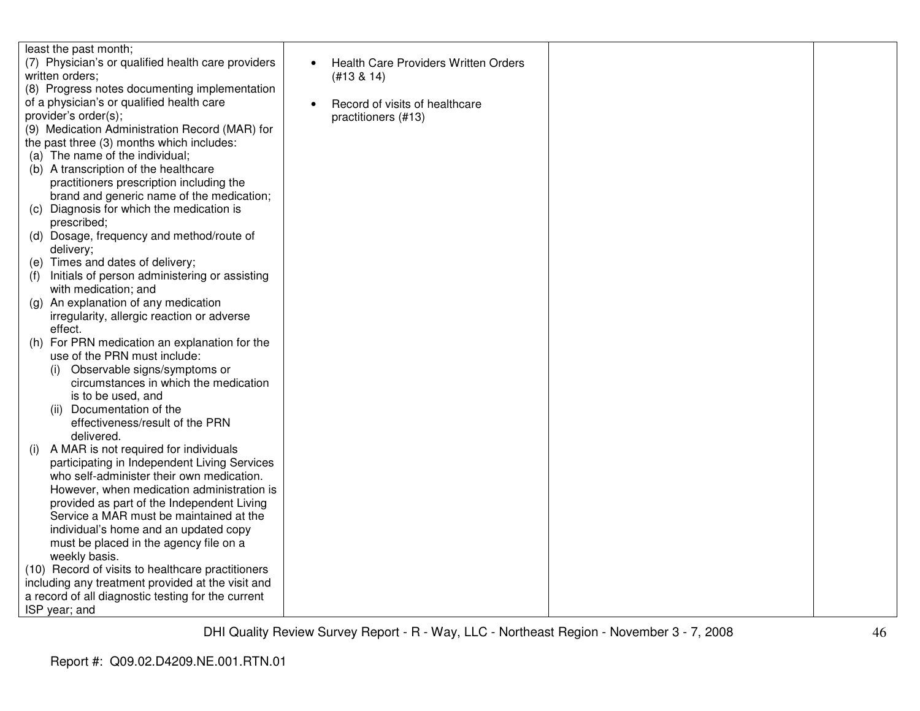| least the past month;                              |                                      |  |
|----------------------------------------------------|--------------------------------------|--|
| (7) Physician's or qualified health care providers | Health Care Providers Written Orders |  |
| written orders:                                    | (H13 & 14)                           |  |
| (8) Progress notes documenting implementation      |                                      |  |
| of a physician's or qualified health care          |                                      |  |
| provider's order(s);                               | Record of visits of healthcare       |  |
|                                                    | practitioners (#13)                  |  |
| (9) Medication Administration Record (MAR) for     |                                      |  |
| the past three (3) months which includes:          |                                      |  |
| (a) The name of the individual;                    |                                      |  |
| (b) A transcription of the healthcare              |                                      |  |
| practitioners prescription including the           |                                      |  |
| brand and generic name of the medication;          |                                      |  |
| (c) Diagnosis for which the medication is          |                                      |  |
| prescribed;                                        |                                      |  |
| (d) Dosage, frequency and method/route of          |                                      |  |
| delivery;                                          |                                      |  |
| (e) Times and dates of delivery;                   |                                      |  |
| Initials of person administering or assisting      |                                      |  |
| with medication; and                               |                                      |  |
| An explanation of any medication<br>(g)            |                                      |  |
| irregularity, allergic reaction or adverse         |                                      |  |
| effect.                                            |                                      |  |
| For PRN medication an explanation for the<br>(h)   |                                      |  |
| use of the PRN must include:                       |                                      |  |
| Observable signs/symptoms or<br>(i)                |                                      |  |
| circumstances in which the medication              |                                      |  |
| is to be used, and                                 |                                      |  |
| Documentation of the<br>(ii)                       |                                      |  |
| effectiveness/result of the PRN                    |                                      |  |
| delivered.                                         |                                      |  |
| A MAR is not required for individuals<br>(i)       |                                      |  |
| participating in Independent Living Services       |                                      |  |
| who self-administer their own medication.          |                                      |  |
| However, when medication administration is         |                                      |  |
| provided as part of the Independent Living         |                                      |  |
| Service a MAR must be maintained at the            |                                      |  |
| individual's home and an updated copy              |                                      |  |
| must be placed in the agency file on a             |                                      |  |
| weekly basis.                                      |                                      |  |
| (10) Record of visits to healthcare practitioners  |                                      |  |
| including any treatment provided at the visit and  |                                      |  |
| a record of all diagnostic testing for the current |                                      |  |
| ISP year; and                                      |                                      |  |
|                                                    |                                      |  |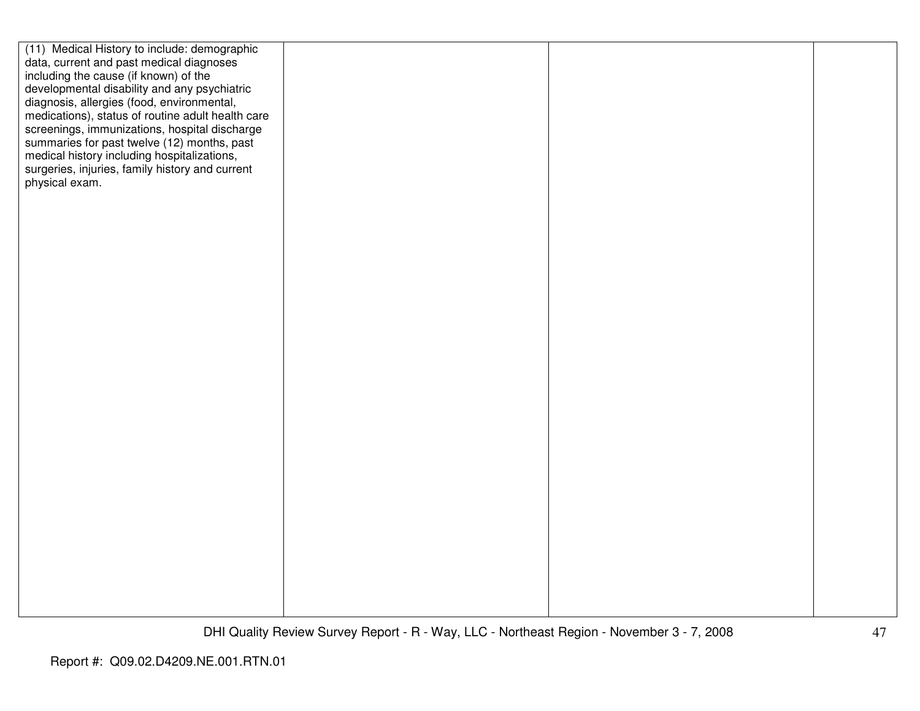| (11) Medical History to include: demographic<br>data, current and past medical diagnoses       |  |  |
|------------------------------------------------------------------------------------------------|--|--|
| including the cause (if known) of the                                                          |  |  |
| developmental disability and any psychiatric<br>diagnosis, allergies (food, environmental,     |  |  |
| medications), status of routine adult health care                                              |  |  |
| screenings, immunizations, hospital discharge                                                  |  |  |
| summaries for past twelve (12) months, past                                                    |  |  |
| medical history including hospitalizations,<br>surgeries, injuries, family history and current |  |  |
| physical exam.                                                                                 |  |  |
|                                                                                                |  |  |
|                                                                                                |  |  |
|                                                                                                |  |  |
|                                                                                                |  |  |
|                                                                                                |  |  |
|                                                                                                |  |  |
|                                                                                                |  |  |
|                                                                                                |  |  |
|                                                                                                |  |  |
|                                                                                                |  |  |
|                                                                                                |  |  |
|                                                                                                |  |  |
|                                                                                                |  |  |
|                                                                                                |  |  |
|                                                                                                |  |  |
|                                                                                                |  |  |
|                                                                                                |  |  |
|                                                                                                |  |  |
|                                                                                                |  |  |
|                                                                                                |  |  |
|                                                                                                |  |  |
|                                                                                                |  |  |
|                                                                                                |  |  |
|                                                                                                |  |  |
|                                                                                                |  |  |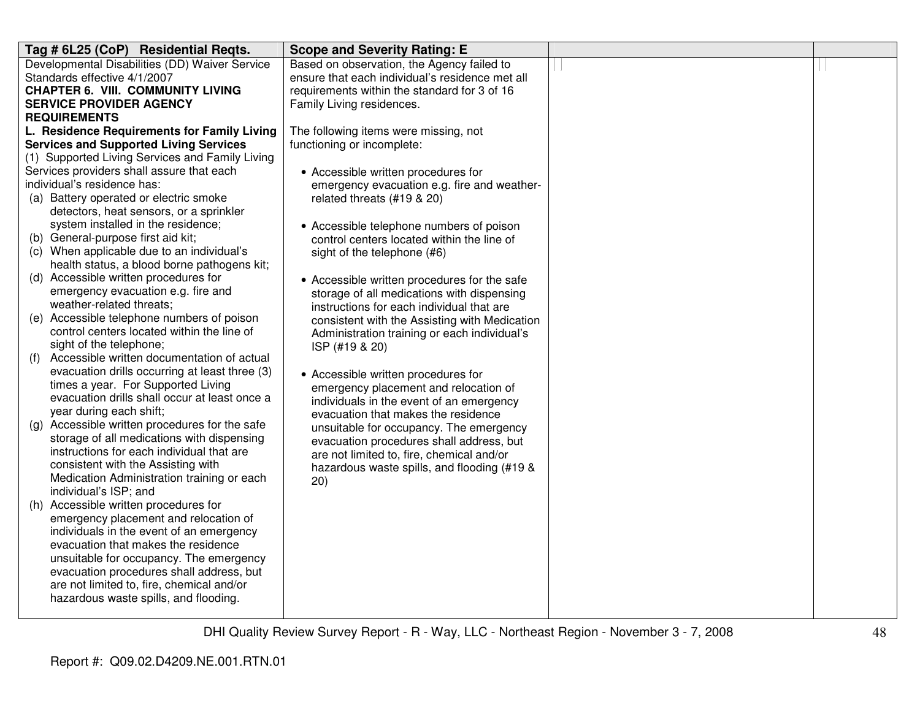| Tag # 6L25 (CoP) Residential Reqts.               | <b>Scope and Severity Rating: E</b>             |  |
|---------------------------------------------------|-------------------------------------------------|--|
| Developmental Disabilities (DD) Waiver Service    | Based on observation, the Agency failed to      |  |
| Standards effective 4/1/2007                      | ensure that each individual's residence met all |  |
| <b>CHAPTER 6. VIII. COMMUNITY LIVING</b>          | requirements within the standard for 3 of 16    |  |
| <b>SERVICE PROVIDER AGENCY</b>                    | Family Living residences.                       |  |
| <b>REQUIREMENTS</b>                               |                                                 |  |
| L. Residence Requirements for Family Living       | The following items were missing, not           |  |
| <b>Services and Supported Living Services</b>     | functioning or incomplete:                      |  |
| (1) Supported Living Services and Family Living   |                                                 |  |
| Services providers shall assure that each         | • Accessible written procedures for             |  |
| individual's residence has:                       | emergency evacuation e.g. fire and weather-     |  |
| (a) Battery operated or electric smoke            | related threats (#19 & 20)                      |  |
| detectors, heat sensors, or a sprinkler           |                                                 |  |
| system installed in the residence;                | • Accessible telephone numbers of poison        |  |
| (b) General-purpose first aid kit;                | control centers located within the line of      |  |
| (c) When applicable due to an individual's        | sight of the telephone (#6)                     |  |
| health status, a blood borne pathogens kit;       |                                                 |  |
| (d) Accessible written procedures for             | • Accessible written procedures for the safe    |  |
| emergency evacuation e.g. fire and                | storage of all medications with dispensing      |  |
| weather-related threats;                          | instructions for each individual that are       |  |
| (e) Accessible telephone numbers of poison        | consistent with the Assisting with Medication   |  |
| control centers located within the line of        | Administration training or each individual's    |  |
| sight of the telephone;                           | ISP (#19 & 20)                                  |  |
| Accessible written documentation of actual<br>(f) |                                                 |  |
| evacuation drills occurring at least three (3)    | • Accessible written procedures for             |  |
| times a year. For Supported Living                | emergency placement and relocation of           |  |
| evacuation drills shall occur at least once a     | individuals in the event of an emergency        |  |
| year during each shift;                           | evacuation that makes the residence             |  |
| (g) Accessible written procedures for the safe    | unsuitable for occupancy. The emergency         |  |
| storage of all medications with dispensing        | evacuation procedures shall address, but        |  |
| instructions for each individual that are         | are not limited to, fire, chemical and/or       |  |
| consistent with the Assisting with                | hazardous waste spills, and flooding (#19 &     |  |
| Medication Administration training or each        | 20)                                             |  |
| individual's ISP; and                             |                                                 |  |
| (h) Accessible written procedures for             |                                                 |  |
| emergency placement and relocation of             |                                                 |  |
| individuals in the event of an emergency          |                                                 |  |
| evacuation that makes the residence               |                                                 |  |
| unsuitable for occupancy. The emergency           |                                                 |  |
| evacuation procedures shall address, but          |                                                 |  |
| are not limited to, fire, chemical and/or         |                                                 |  |
| hazardous waste spills, and flooding.             |                                                 |  |